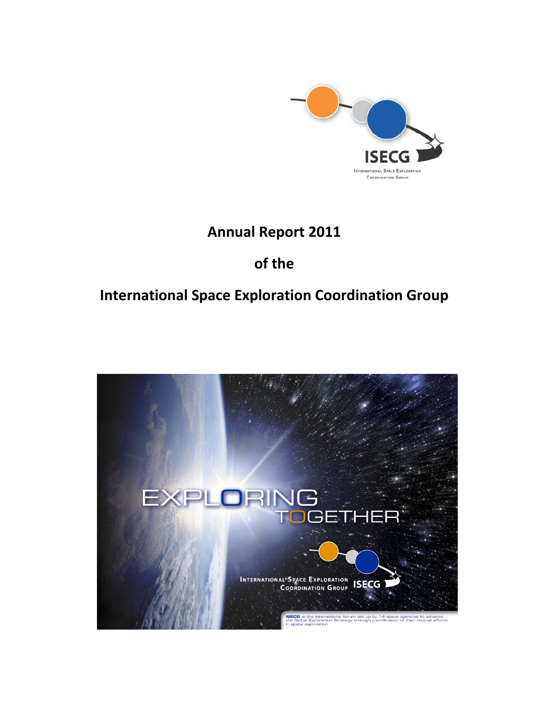

# **Annual Report 2011**

# **of the**

# **International Space Exploration Coordination Group**

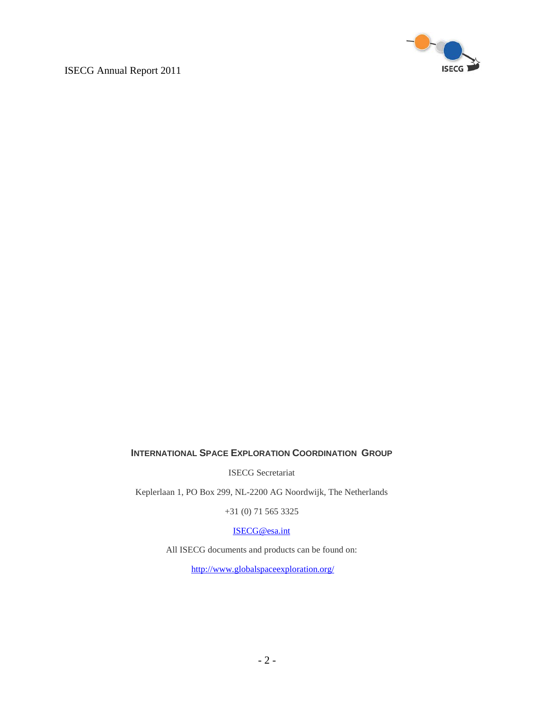

#### **INTERNATIONAL SPACE EXPLORATION COORDINATION GROUP**

ISECG Secretariat

Keplerlaan 1, PO Box 299, NL-2200 AG Noordwijk, The Netherlands

+31 (0) 71 565 3325

[ISECG@esa.int](mailto:ISECG@esa.int)

All ISECG documents and products can be found on:

<http://www.globalspaceexploration.org/>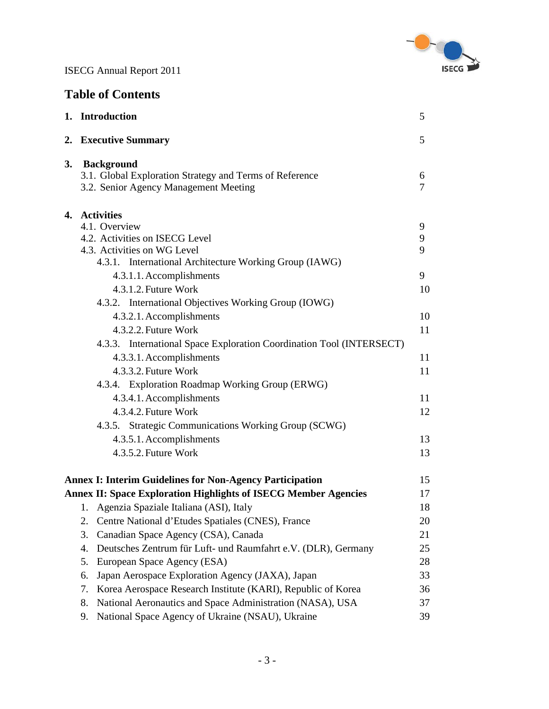

# **Table of Contents**

|    |    | 1. Introduction                                                                                  | 5  |
|----|----|--------------------------------------------------------------------------------------------------|----|
|    |    | 2. Executive Summary                                                                             | 5  |
| 3. |    | <b>Background</b>                                                                                |    |
|    |    | 3.1. Global Exploration Strategy and Terms of Reference                                          | 6  |
|    |    | 3.2. Senior Agency Management Meeting                                                            | 7  |
|    |    | 4. Activities                                                                                    |    |
|    |    | 4.1. Overview                                                                                    | 9  |
|    |    | 4.2. Activities on ISECG Level                                                                   | 9  |
|    |    | 4.3. Activities on WG Level                                                                      | 9  |
|    |    | 4.3.1. International Architecture Working Group (IAWG)                                           | 9  |
|    |    | 4.3.1.1. Accomplishments<br>4.3.1.2. Future Work                                                 | 10 |
|    |    |                                                                                                  |    |
|    |    | 4.3.2. International Objectives Working Group (IOWG)                                             | 10 |
|    |    | 4.3.2.1. Accomplishments<br>4.3.2.2. Future Work                                                 | 11 |
|    |    |                                                                                                  |    |
|    |    | 4.3.3. International Space Exploration Coordination Tool (INTERSECT)<br>4.3.3.1. Accomplishments | 11 |
|    |    | 4.3.3.2. Future Work                                                                             | 11 |
|    |    |                                                                                                  |    |
|    |    | 4.3.4. Exploration Roadmap Working Group (ERWG)                                                  | 11 |
|    |    | 4.3.4.1. Accomplishments<br>4.3.4.2. Future Work                                                 | 12 |
|    |    |                                                                                                  |    |
|    |    | 4.3.5. Strategic Communications Working Group (SCWG)                                             |    |
|    |    | 4.3.5.1. Accomplishments                                                                         | 13 |
|    |    | 4.3.5.2. Future Work                                                                             | 13 |
|    |    | <b>Annex I: Interim Guidelines for Non-Agency Participation</b>                                  | 15 |
|    |    | <b>Annex II: Space Exploration Highlights of ISECG Member Agencies</b>                           | 17 |
|    |    | 1. Agenzia Spaziale Italiana (ASI), Italy                                                        | 18 |
|    | 2. | Centre National d'Etudes Spatiales (CNES), France                                                | 20 |
|    | 3. | Canadian Space Agency (CSA), Canada                                                              | 21 |
|    | 4. | Deutsches Zentrum für Luft- und Raumfahrt e.V. (DLR), Germany                                    | 25 |
|    | 5. | European Space Agency (ESA)                                                                      | 28 |
|    | 6. | Japan Aerospace Exploration Agency (JAXA), Japan                                                 | 33 |
|    | 7. | Korea Aerospace Research Institute (KARI), Republic of Korea                                     | 36 |
|    | 8. | National Aeronautics and Space Administration (NASA), USA                                        | 37 |
|    | 9. | National Space Agency of Ukraine (NSAU), Ukraine                                                 | 39 |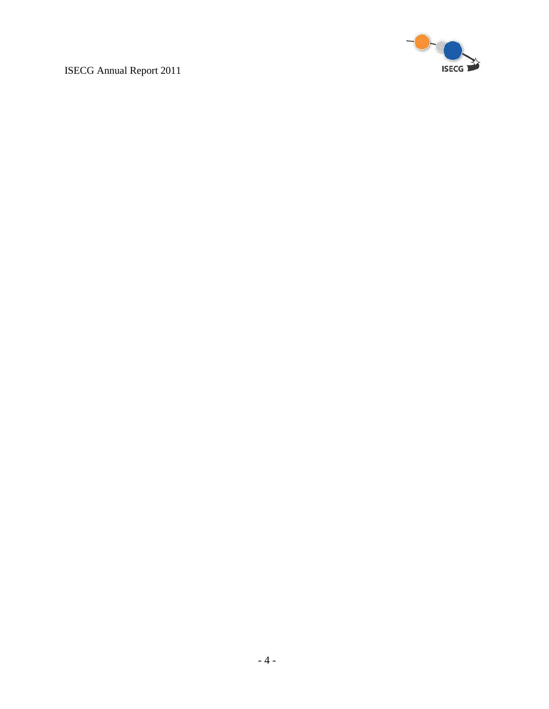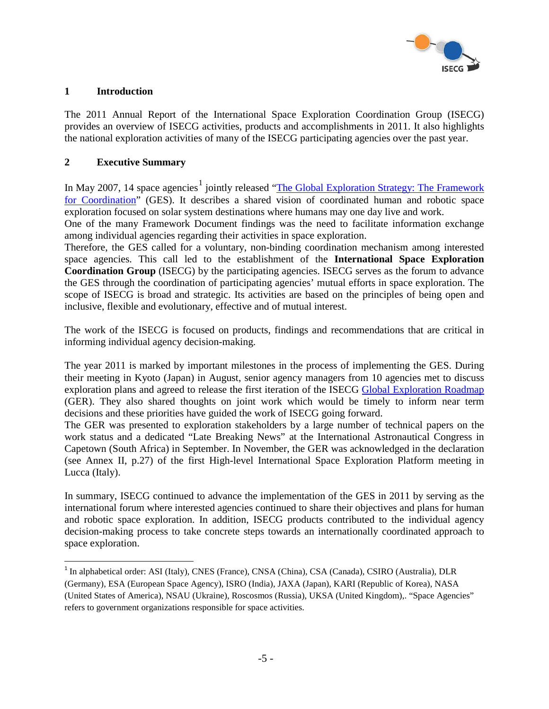

# **1 Introduction**

The 2011 Annual Report of the International Space Exploration Coordination Group (ISECG) provides an overview of ISECG activities, products and accomplishments in 2011. It also highlights the national exploration activities of many of the ISECG participating agencies over the past year.

#### **2 Executive Summary**

In May 2007, [1](#page-4-0)4 space agencies<sup>1</sup> jointly released "The Global Exploration Strategy: The Framework [for Coordination"](http://www.globalspaceexploration.org/c/document_library/get_file?uuid=119c14c4-6f68-49dd-94fa-af08ecb0c4f6&groupId=10812) (GES). It describes a shared vision of coordinated human and robotic space exploration focused on solar system destinations where humans may one day live and work.

One of the many Framework Document findings was the need to facilitate information exchange among individual agencies regarding their activities in space exploration.

Therefore, the GES called for a voluntary, non-binding coordination mechanism among interested space agencies. This call led to the establishment of the **International Space Exploration Coordination Group** (ISECG) by the participating agencies. ISECG serves as the forum to advance the GES through the coordination of participating agencies' mutual efforts in space exploration. The scope of ISECG is broad and strategic. Its activities are based on the principles of being open and inclusive, flexible and evolutionary, effective and of mutual interest.

The work of the ISECG is focused on products, findings and recommendations that are critical in informing individual agency decision-making.

The year 2011 is marked by important milestones in the process of implementing the GES. During their meeting in Kyoto (Japan) in August, senior agency managers from 10 agencies met to discuss exploration plans and agreed to release the first iteration of the ISECG [Global Exploration Roadmap](http://www.globalspaceexploration.org/c/document_library/get_file?uuid=0be3296d-5d86-41cb-bb58-3956d7e38e43&groupId=10812) (GER). They also shared thoughts on joint work which would be timely to inform near term decisions and these priorities have guided the work of ISECG going forward.

The GER was presented to exploration stakeholders by a large number of technical papers on the work status and a dedicated "Late Breaking News" at the International Astronautical Congress in Capetown (South Africa) in September. In November, the GER was acknowledged in the declaration (see Annex II, p.27) of the first High-level International Space Exploration Platform meeting in Lucca (Italy).

In summary, ISECG continued to advance the implementation of the GES in 2011 by serving as the international forum where interested agencies continued to share their objectives and plans for human and robotic space exploration. In addition, ISECG products contributed to the individual agency decision-making process to take concrete steps towards an internationally coordinated approach to space exploration.

<span id="page-4-0"></span><sup>&</sup>lt;sup>1</sup> In alphabetical order: ASI (Italy), CNES (France), CNSA (China), CSA (Canada), CSIRO (Australia), DLR (Germany), ESA (European Space Agency), ISRO (India), JAXA (Japan), KARI (Republic of Korea), NASA (United States of America), NSAU (Ukraine), Roscosmos (Russia), UKSA (United Kingdom),. "Space Agencies" refers to government organizations responsible for space activities.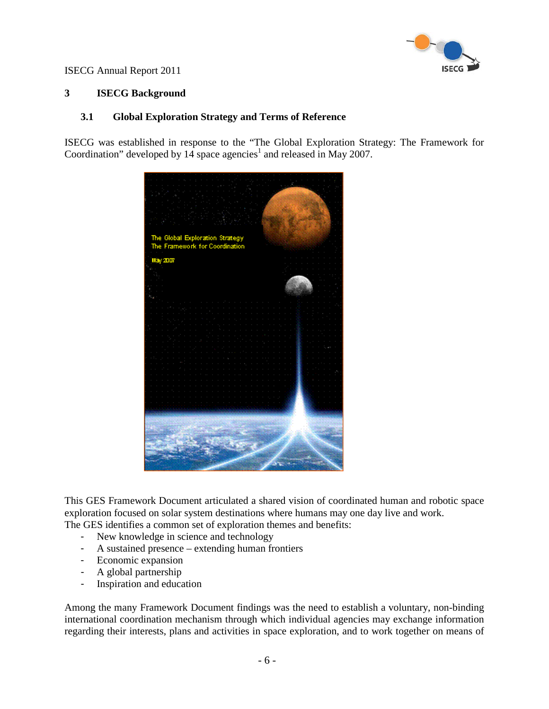

# **3 ISECG Background**

#### **3.1 Global Exploration Strategy and Terms of Reference**

ISECG was established in response to the "The Global Exploration Strategy: The Framework for Coordination" developed by  $14$  space agencies<sup>1</sup> and released in May 2007.

| The Global Exploration Strategy<br>The Framework for Coordination |  |
|-------------------------------------------------------------------|--|
| May 2007                                                          |  |
|                                                                   |  |
|                                                                   |  |
|                                                                   |  |
|                                                                   |  |
|                                                                   |  |
|                                                                   |  |
|                                                                   |  |
|                                                                   |  |
|                                                                   |  |
|                                                                   |  |
|                                                                   |  |
|                                                                   |  |
|                                                                   |  |
|                                                                   |  |
|                                                                   |  |

This GES Framework Document articulated a shared vision of coordinated human and robotic space exploration focused on solar system destinations where humans may one day live and work. The GES identifies a common set of exploration themes and benefits:

- New knowledge in science and technology
- A sustained presence extending human frontiers
- Economic expansion
- A global partnership
- Inspiration and education

Among the many Framework Document findings was the need to establish a voluntary, non-binding international coordination mechanism through which individual agencies may exchange information regarding their interests, plans and activities in space exploration, and to work together on means of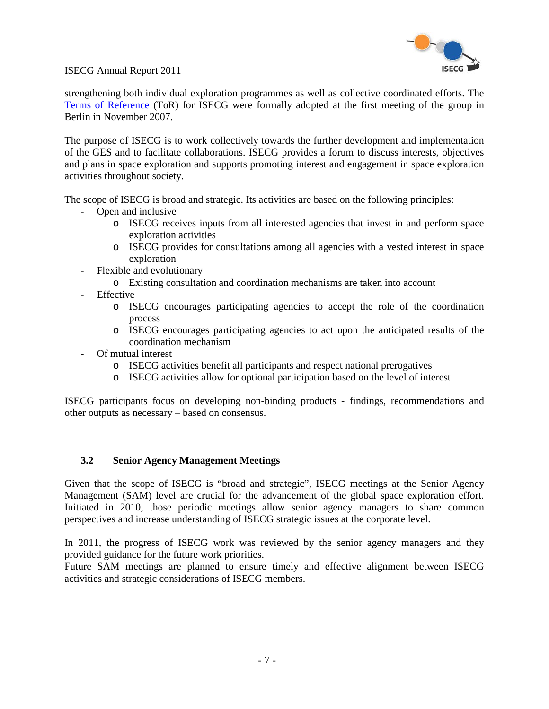

strengthening both individual exploration programmes as well as collective coordinated efforts. The [Terms of Reference](http://www.globalspaceexploration.org/c/document_library/get_file?uuid=d420dc61-f082-4ac0-a77c-cbbfece44584&groupId=10812) (ToR) for ISECG were formally adopted at the first meeting of the group in Berlin in November 2007.

The purpose of ISECG is to work collectively towards the further development and implementation of the GES and to facilitate collaborations. ISECG provides a forum to discuss interests, objectives and plans in space exploration and supports promoting interest and engagement in space exploration activities throughout society.

The scope of ISECG is broad and strategic. Its activities are based on the following principles:

- Open and inclusive
	- o ISECG receives inputs from all interested agencies that invest in and perform space exploration activities
	- o ISECG provides for consultations among all agencies with a vested interest in space exploration
- Flexible and evolutionary
	- o Existing consultation and coordination mechanisms are taken into account
- Effective
	- o ISECG encourages participating agencies to accept the role of the coordination process
	- o ISECG encourages participating agencies to act upon the anticipated results of the coordination mechanism
- Of mutual interest
	- o ISECG activities benefit all participants and respect national prerogatives
	- o ISECG activities allow for optional participation based on the level of interest

ISECG participants focus on developing non-binding products - findings, recommendations and other outputs as necessary – based on consensus.

#### **3.2 Senior Agency Management Meetings**

Given that the scope of ISECG is "broad and strategic", ISECG meetings at the Senior Agency Management (SAM) level are crucial for the advancement of the global space exploration effort. Initiated in 2010, those periodic meetings allow senior agency managers to share common perspectives and increase understanding of ISECG strategic issues at the corporate level.

In 2011, the progress of ISECG work was reviewed by the senior agency managers and they provided guidance for the future work priorities.

Future SAM meetings are planned to ensure timely and effective alignment between ISECG activities and strategic considerations of ISECG members.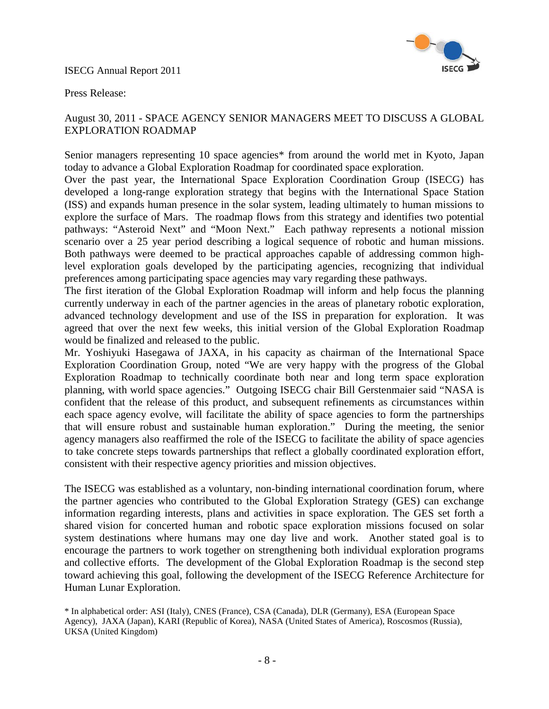

Press Release:

# August 30, 2011 - SPACE AGENCY SENIOR MANAGERS MEET TO DISCUSS A GLOBAL EXPLORATION ROADMAP

Senior managers representing 10 space agencies\* from around the world met in Kyoto, Japan today to advance a Global Exploration Roadmap for coordinated space exploration.

Over the past year, the International Space Exploration Coordination Group (ISECG) has developed a long-range exploration strategy that begins with the International Space Station (ISS) and expands human presence in the solar system, leading ultimately to human missions to explore the surface of Mars. The roadmap flows from this strategy and identifies two potential pathways: "Asteroid Next" and "Moon Next." Each pathway represents a notional mission scenario over a 25 year period describing a logical sequence of robotic and human missions. Both pathways were deemed to be practical approaches capable of addressing common highlevel exploration goals developed by the participating agencies, recognizing that individual preferences among participating space agencies may vary regarding these pathways.

The first iteration of the Global Exploration Roadmap will inform and help focus the planning currently underway in each of the partner agencies in the areas of planetary robotic exploration, advanced technology development and use of the ISS in preparation for exploration. It was agreed that over the next few weeks, this initial version of the Global Exploration Roadmap would be finalized and released to the public.

Mr. Yoshiyuki Hasegawa of JAXA, in his capacity as chairman of the International Space Exploration Coordination Group, noted "We are very happy with the progress of the Global Exploration Roadmap to technically coordinate both near and long term space exploration planning, with world space agencies." Outgoing ISECG chair Bill Gerstenmaier said "NASA is confident that the release of this product, and subsequent refinements as circumstances within each space agency evolve, will facilitate the ability of space agencies to form the partnerships that will ensure robust and sustainable human exploration." During the meeting, the senior agency managers also reaffirmed the role of the ISECG to facilitate the ability of space agencies to take concrete steps towards partnerships that reflect a globally coordinated exploration effort, consistent with their respective agency priorities and mission objectives.

The ISECG was established as a voluntary, non-binding international coordination forum, where the partner agencies who contributed to the Global Exploration Strategy (GES) can exchange information regarding interests, plans and activities in space exploration. The GES set forth a shared vision for concerted human and robotic space exploration missions focused on solar system destinations where humans may one day live and work. Another stated goal is to encourage the partners to work together on strengthening both individual exploration programs and collective efforts. The development of the Global Exploration Roadmap is the second step toward achieving this goal, following the development of the ISECG Reference Architecture for Human Lunar Exploration.

<sup>\*</sup> In alphabetical order: ASI (Italy), CNES (France), CSA (Canada), DLR (Germany), ESA (European Space Agency), JAXA (Japan), KARI (Republic of Korea), NASA (United States of America), Roscosmos (Russia), UKSA (United Kingdom)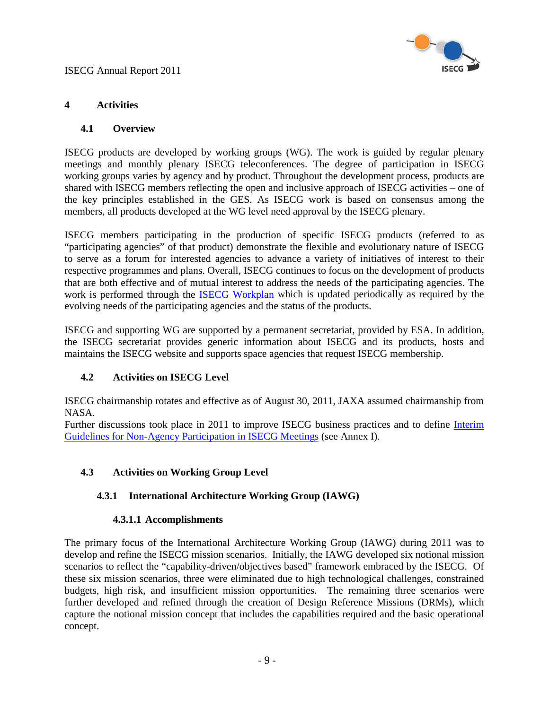

# **4 Activities**

# **4.1 Overview**

ISECG products are developed by working groups (WG). The work is guided by regular plenary meetings and monthly plenary ISECG teleconferences. The degree of participation in ISECG working groups varies by agency and by product. Throughout the development process, products are shared with ISECG members reflecting the open and inclusive approach of ISECG activities – one of the key principles established in the GES. As ISECG work is based on consensus among the members, all products developed at the WG level need approval by the ISECG plenary.

ISECG members participating in the production of specific ISECG products (referred to as "participating agencies" of that product) demonstrate the flexible and evolutionary nature of ISECG to serve as a forum for interested agencies to advance a variety of initiatives of interest to their respective programmes and plans. Overall, ISECG continues to focus on the development of products that are both effective and of mutual interest to address the needs of the participating agencies. The work is performed through the **ISECG** [Workplan](http://www.globalspaceexploration.org/c/document_library/get_file?uuid=54c9a954-e112-40a2-9228-3c1d2d9e6082&groupId=10812) which is updated periodically as required by the evolving needs of the participating agencies and the status of the products.

ISECG and supporting WG are supported by a permanent secretariat, provided by ESA. In addition, the ISECG secretariat provides generic information about ISECG and its products, hosts and maintains the ISECG website and supports space agencies that request ISECG membership.

# **4.2 Activities on ISECG Level**

ISECG chairmanship rotates and effective as of August 30, 2011, JAXA assumed chairmanship from NASA.

Further discussions took place in 2011 to improve ISECG business practices and to define [Interim](http://www.globalspaceexploration.org/c/document_library/get_file?uuid=e85666d0-ac86-4c64-821d-d8c66a79cc33&groupId=10812)  [Guidelines for Non-Agency Participation in ISECG Meetings](http://www.globalspaceexploration.org/c/document_library/get_file?uuid=e85666d0-ac86-4c64-821d-d8c66a79cc33&groupId=10812) (see Annex I).

# **4.3 Activities on Working Group Level**

# **4.3.1 International Architecture Working Group (IAWG)**

# **4.3.1.1 Accomplishments**

The primary focus of the International Architecture Working Group (IAWG) during 2011 was to develop and refine the ISECG mission scenarios. Initially, the IAWG developed six notional mission scenarios to reflect the "capability-driven/objectives based" framework embraced by the ISECG. Of these six mission scenarios, three were eliminated due to high technological challenges, constrained budgets, high risk, and insufficient mission opportunities. The remaining three scenarios were further developed and refined through the creation of Design Reference Missions (DRMs), which capture the notional mission concept that includes the capabilities required and the basic operational concept.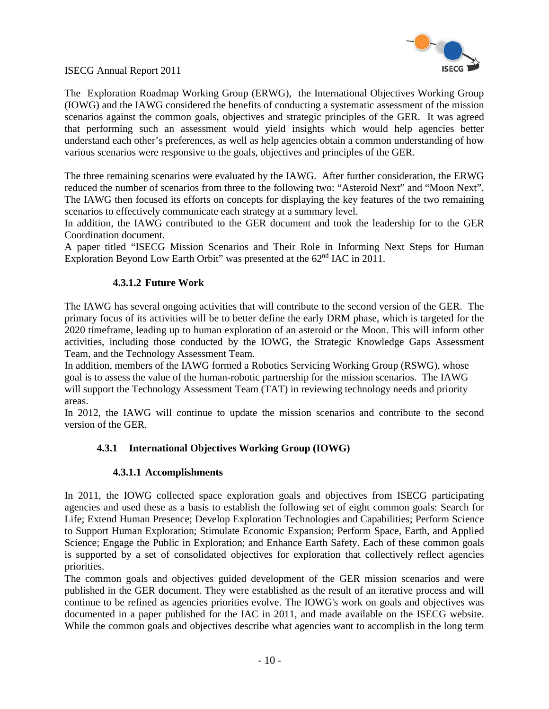

The Exploration Roadmap Working Group (ERWG), the International Objectives Working Group (IOWG) and the IAWG considered the benefits of conducting a systematic assessment of the mission scenarios against the common goals, objectives and strategic principles of the GER. It was agreed that performing such an assessment would yield insights which would help agencies better understand each other's preferences, as well as help agencies obtain a common understanding of how various scenarios were responsive to the goals, objectives and principles of the GER.

The three remaining scenarios were evaluated by the IAWG. After further consideration, the ERWG reduced the number of scenarios from three to the following two: "Asteroid Next" and "Moon Next". The IAWG then focused its efforts on concepts for displaying the key features of the two remaining scenarios to effectively communicate each strategy at a summary level.

In addition, the IAWG contributed to the GER document and took the leadership for to the GER Coordination document.

A paper titled "ISECG Mission Scenarios and Their Role in Informing Next Steps for Human Exploration Beyond Low Earth Orbit" was presented at the  $62<sup>nd</sup>$  IAC in 2011.

# **4.3.1.2 Future Work**

The IAWG has several ongoing activities that will contribute to the second version of the GER. The primary focus of its activities will be to better define the early DRM phase, which is targeted for the 2020 timeframe, leading up to human exploration of an asteroid or the Moon. This will inform other activities, including those conducted by the IOWG, the Strategic Knowledge Gaps Assessment Team, and the Technology Assessment Team.

In addition, members of the IAWG formed a Robotics Servicing Working Group (RSWG), whose goal is to assess the value of the human-robotic partnership for the mission scenarios. The IAWG will support the Technology Assessment Team (TAT) in reviewing technology needs and priority areas.

In 2012, the IAWG will continue to update the mission scenarios and contribute to the second version of the GER.

# **4.3.1 International Objectives Working Group (IOWG)**

#### **4.3.1.1 Accomplishments**

In 2011, the IOWG collected space exploration goals and objectives from ISECG participating agencies and used these as a basis to establish the following set of eight common goals: Search for Life; Extend Human Presence; Develop Exploration Technologies and Capabilities; Perform Science to Support Human Exploration; Stimulate Economic Expansion; Perform Space, Earth, and Applied Science; Engage the Public in Exploration; and Enhance Earth Safety. Each of these common goals is supported by a set of consolidated objectives for exploration that collectively reflect agencies priorities.

The common goals and objectives guided development of the GER mission scenarios and were published in the GER document. They were established as the result of an iterative process and will continue to be refined as agencies priorities evolve. The IOWG's work on goals and objectives was documented in a paper published for the IAC in 2011, and made available on the ISECG website. While the common goals and objectives describe what agencies want to accomplish in the long term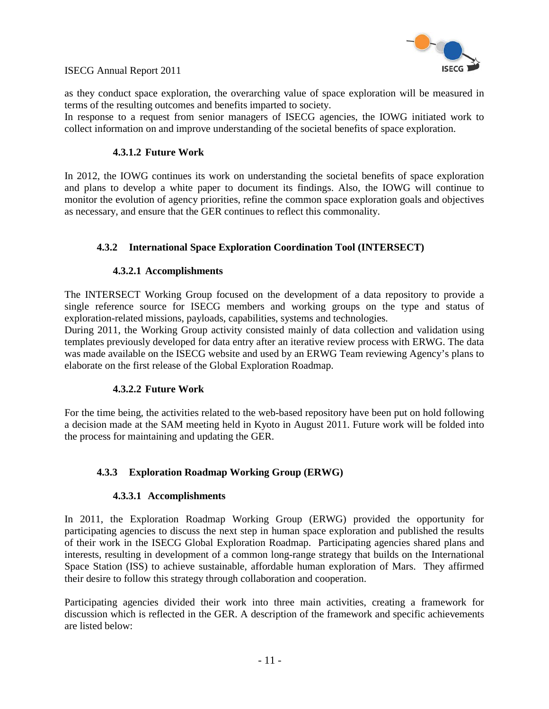

as they conduct space exploration, the overarching value of space exploration will be measured in terms of the resulting outcomes and benefits imparted to society.

In response to a request from senior managers of ISECG agencies, the IOWG initiated work to collect information on and improve understanding of the societal benefits of space exploration.

#### **4.3.1.2 Future Work**

In 2012, the IOWG continues its work on understanding the societal benefits of space exploration and plans to develop a white paper to document its findings. Also, the IOWG will continue to monitor the evolution of agency priorities, refine the common space exploration goals and objectives as necessary, and ensure that the GER continues to reflect this commonality.

# **4.3.2 International Space Exploration Coordination Tool (INTERSECT)**

# **4.3.2.1 Accomplishments**

The INTERSECT Working Group focused on the development of a data repository to provide a single reference source for ISECG members and working groups on the type and status of exploration-related missions, payloads, capabilities, systems and technologies.

During 2011, the Working Group activity consisted mainly of data collection and validation using templates previously developed for data entry after an iterative review process with ERWG. The data was made available on the ISECG website and used by an ERWG Team reviewing Agency's plans to elaborate on the first release of the Global Exploration Roadmap.

#### **4.3.2.2 Future Work**

For the time being, the activities related to the web-based repository have been put on hold following a decision made at the SAM meeting held in Kyoto in August 2011. Future work will be folded into the process for maintaining and updating the GER.

# **4.3.3 Exploration Roadmap Working Group (ERWG)**

#### **4.3.3.1 Accomplishments**

In 2011, the Exploration Roadmap Working Group (ERWG) provided the opportunity for participating agencies to discuss the next step in human space exploration and published the results of their work in the ISECG Global Exploration Roadmap. Participating agencies shared plans and interests, resulting in development of a common long-range strategy that builds on the International Space Station (ISS) to achieve sustainable, affordable human exploration of Mars. They affirmed their desire to follow this strategy through collaboration and cooperation.

Participating agencies divided their work into three main activities, creating a framework for discussion which is reflected in the GER. A description of the framework and specific achievements are listed below: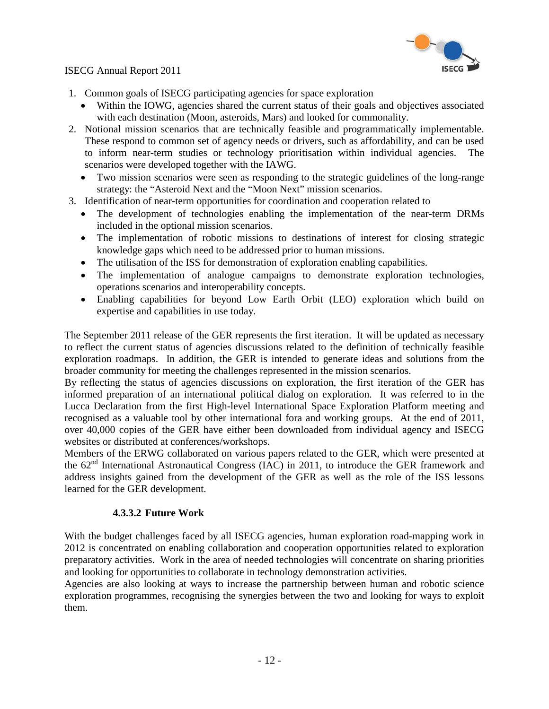

- 1. Common goals of ISECG participating agencies for space exploration
	- Within the IOWG, agencies shared the current status of their goals and objectives associated with each destination (Moon, asteroids, Mars) and looked for commonality.
- 2. Notional mission scenarios that are technically feasible and programmatically implementable. These respond to common set of agency needs or drivers, such as affordability, and can be used to inform near-term studies or technology prioritisation within individual agencies. The scenarios were developed together with the IAWG.
	- Two mission scenarios were seen as responding to the strategic guidelines of the long-range strategy: the "Asteroid Next and the "Moon Next" mission scenarios.
- 3. Identification of near-term opportunities for coordination and cooperation related to
	- The development of technologies enabling the implementation of the near-term DRMs included in the optional mission scenarios.
	- The implementation of robotic missions to destinations of interest for closing strategic knowledge gaps which need to be addressed prior to human missions.
	- The utilisation of the ISS for demonstration of exploration enabling capabilities.
	- The implementation of analogue campaigns to demonstrate exploration technologies, operations scenarios and interoperability concepts.
	- Enabling capabilities for beyond Low Earth Orbit (LEO) exploration which build on expertise and capabilities in use today.

The September 2011 release of the GER represents the first iteration. It will be updated as necessary to reflect the current status of agencies discussions related to the definition of technically feasible exploration roadmaps. In addition, the GER is intended to generate ideas and solutions from the broader community for meeting the challenges represented in the mission scenarios.

By reflecting the status of agencies discussions on exploration, the first iteration of the GER has informed preparation of an international political dialog on exploration. It was referred to in the Lucca Declaration from the first High-level International Space Exploration Platform meeting and recognised as a valuable tool by other international fora and working groups. At the end of 2011, over 40,000 copies of the GER have either been downloaded from individual agency and ISECG websites or distributed at conferences/workshops.

Members of the ERWG collaborated on various papers related to the GER, which were presented at the 62nd International Astronautical Congress (IAC) in 2011, to introduce the GER framework and address insights gained from the development of the GER as well as the role of the ISS lessons learned for the GER development.

# **4.3.3.2 Future Work**

With the budget challenges faced by all ISECG agencies, human exploration road-mapping work in 2012 is concentrated on enabling collaboration and cooperation opportunities related to exploration preparatory activities. Work in the area of needed technologies will concentrate on sharing priorities and looking for opportunities to collaborate in technology demonstration activities.

Agencies are also looking at ways to increase the partnership between human and robotic science exploration programmes, recognising the synergies between the two and looking for ways to exploit them.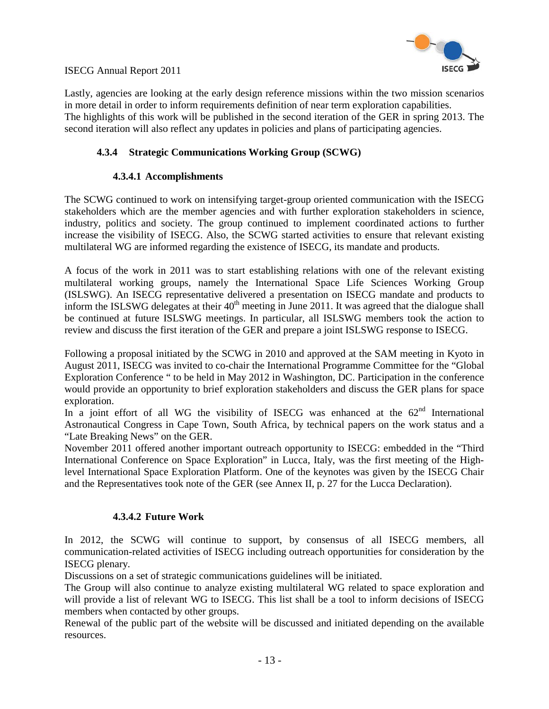

Lastly, agencies are looking at the early design reference missions within the two mission scenarios in more detail in order to inform requirements definition of near term exploration capabilities. The highlights of this work will be published in the second iteration of the GER in spring 2013. The second iteration will also reflect any updates in policies and plans of participating agencies.

# **4.3.4 Strategic Communications Working Group (SCWG)**

# **4.3.4.1 Accomplishments**

The SCWG continued to work on intensifying target-group oriented communication with the ISECG stakeholders which are the member agencies and with further exploration stakeholders in science, industry, politics and society. The group continued to implement coordinated actions to further increase the visibility of ISECG. Also, the SCWG started activities to ensure that relevant existing multilateral WG are informed regarding the existence of ISECG, its mandate and products.

A focus of the work in 2011 was to start establishing relations with one of the relevant existing multilateral working groups, namely the International Space Life Sciences Working Group (ISLSWG). An ISECG representative delivered a presentation on ISECG mandate and products to inform the ISLSWG delegates at their 40<sup>th</sup> meeting in June 2011. It was agreed that the dialogue shall be continued at future ISLSWG meetings. In particular, all ISLSWG members took the action to review and discuss the first iteration of the GER and prepare a joint ISLSWG response to ISECG.

Following a proposal initiated by the SCWG in 2010 and approved at the SAM meeting in Kyoto in August 2011, ISECG was invited to co-chair the International Programme Committee for the "Global Exploration Conference " to be held in May 2012 in Washington, DC. Participation in the conference would provide an opportunity to brief exploration stakeholders and discuss the GER plans for space exploration.

In a joint effort of all WG the visibility of ISECG was enhanced at the  $62<sup>nd</sup>$  International Astronautical Congress in Cape Town, South Africa, by technical papers on the work status and a "Late Breaking News" on the GER.

November 2011 offered another important outreach opportunity to ISECG: embedded in the "Third International Conference on Space Exploration" in Lucca, Italy, was the first meeting of the Highlevel International Space Exploration Platform. One of the keynotes was given by the ISECG Chair and the Representatives took note of the GER (see Annex II, p. 27 for the Lucca Declaration).

# **4.3.4.2 Future Work**

In 2012, the SCWG will continue to support, by consensus of all ISECG members, all communication-related activities of ISECG including outreach opportunities for consideration by the ISECG plenary.

Discussions on a set of strategic communications guidelines will be initiated.

The Group will also continue to analyze existing multilateral WG related to space exploration and will provide a list of relevant WG to ISECG. This list shall be a tool to inform decisions of ISECG members when contacted by other groups.

Renewal of the public part of the website will be discussed and initiated depending on the available resources.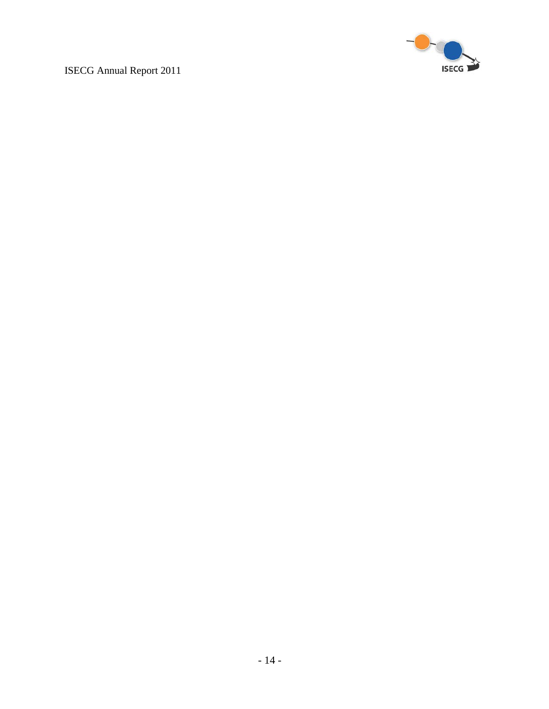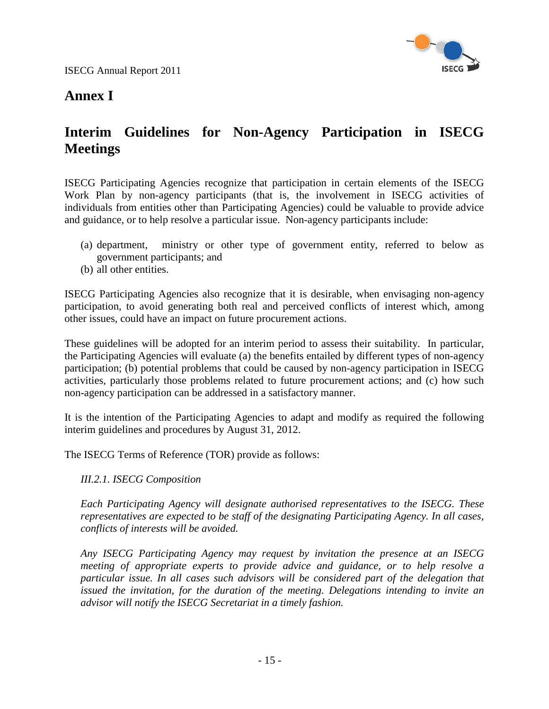

# **Annex I**

# **Interim Guidelines for Non-Agency Participation in ISECG Meetings**

ISECG Participating Agencies recognize that participation in certain elements of the ISECG Work Plan by non-agency participants (that is, the involvement in ISECG activities of individuals from entities other than Participating Agencies) could be valuable to provide advice and guidance, or to help resolve a particular issue. Non-agency participants include:

- (a) department, ministry or other type of government entity, referred to below as government participants; and
- (b) all other entities.

ISECG Participating Agencies also recognize that it is desirable, when envisaging non-agency participation, to avoid generating both real and perceived conflicts of interest which, among other issues, could have an impact on future procurement actions.

These guidelines will be adopted for an interim period to assess their suitability. In particular, the Participating Agencies will evaluate (a) the benefits entailed by different types of non-agency participation; (b) potential problems that could be caused by non-agency participation in ISECG activities, particularly those problems related to future procurement actions; and (c) how such non-agency participation can be addressed in a satisfactory manner.

It is the intention of the Participating Agencies to adapt and modify as required the following interim guidelines and procedures by August 31, 2012.

The ISECG Terms of Reference (TOR) provide as follows:

*III.2.1. ISECG Composition* 

*Each Participating Agency will designate authorised representatives to the ISECG. These representatives are expected to be staff of the designating Participating Agency. In all cases, conflicts of interests will be avoided.* 

*Any ISECG Participating Agency may request by invitation the presence at an ISECG meeting of appropriate experts to provide advice and guidance, or to help resolve a particular issue. In all cases such advisors will be considered part of the delegation that issued the invitation, for the duration of the meeting. Delegations intending to invite an advisor will notify the ISECG Secretariat in a timely fashion.*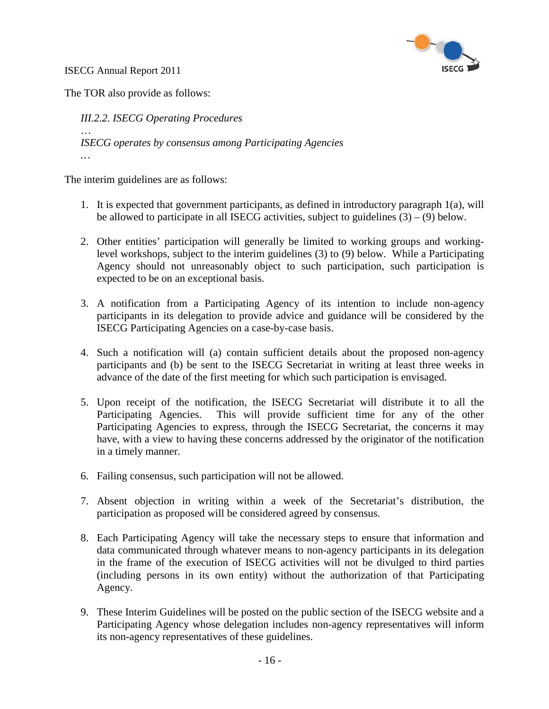

The TOR also provide as follows:

*III.2.2. ISECG Operating Procedures* … *ISECG operates by consensus among Participating Agencies …*

The interim guidelines are as follows:

- 1. It is expected that government participants, as defined in introductory paragraph 1(a), will be allowed to participate in all ISECG activities, subject to guidelines  $(3) - (9)$  below.
- 2. Other entities' participation will generally be limited to working groups and workinglevel workshops, subject to the interim guidelines (3) to (9) below. While a Participating Agency should not unreasonably object to such participation, such participation is expected to be on an exceptional basis.
- 3. A notification from a Participating Agency of its intention to include non-agency participants in its delegation to provide advice and guidance will be considered by the ISECG Participating Agencies on a case-by-case basis.
- 4. Such a notification will (a) contain sufficient details about the proposed non-agency participants and (b) be sent to the ISECG Secretariat in writing at least three weeks in advance of the date of the first meeting for which such participation is envisaged.
- 5. Upon receipt of the notification, the ISECG Secretariat will distribute it to all the Participating Agencies. This will provide sufficient time for any of the other Participating Agencies to express, through the ISECG Secretariat, the concerns it may have, with a view to having these concerns addressed by the originator of the notification in a timely manner.
- 6. Failing consensus, such participation will not be allowed.
- 7. Absent objection in writing within a week of the Secretariat's distribution, the participation as proposed will be considered agreed by consensus.
- 8. Each Participating Agency will take the necessary steps to ensure that information and data communicated through whatever means to non-agency participants in its delegation in the frame of the execution of ISECG activities will not be divulged to third parties (including persons in its own entity) without the authorization of that Participating Agency.
- 9. These Interim Guidelines will be posted on the public section of the ISECG website and a Participating Agency whose delegation includes non-agency representatives will inform its non-agency representatives of these guidelines.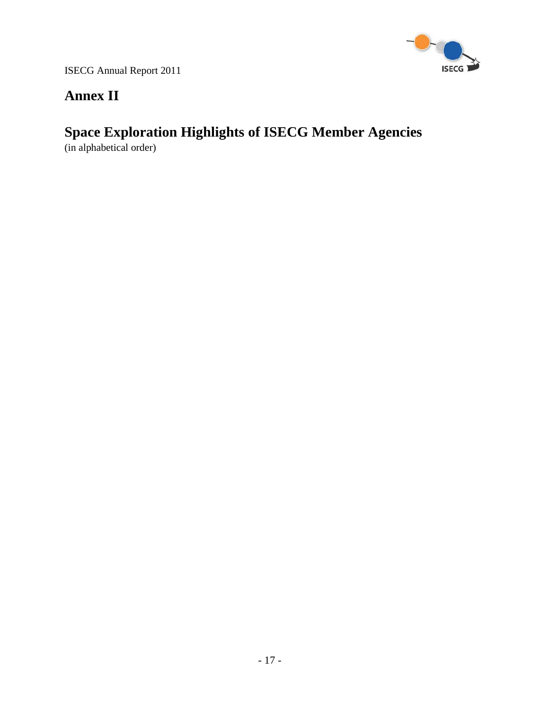

# **Annex II**

# **Space Exploration Highlights of ISECG Member Agencies**

(in alphabetical order)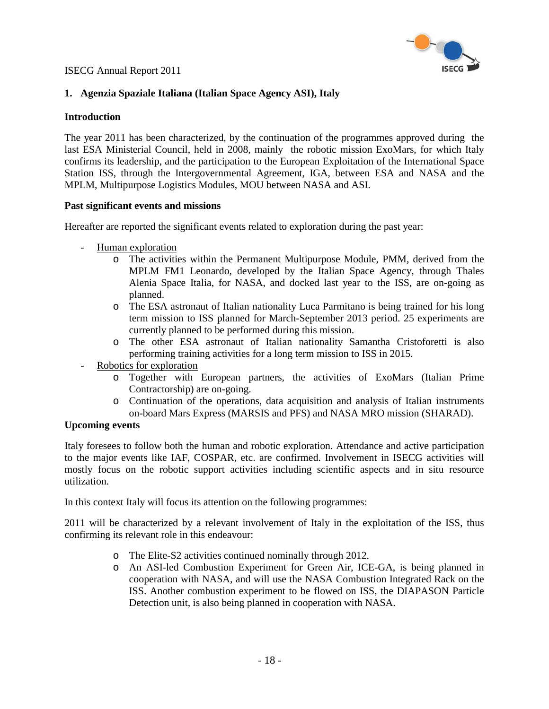

# **1. Agenzia Spaziale Italiana (Italian Space Agency ASI), Italy**

#### **Introduction**

The year 2011 has been characterized, by the continuation of the programmes approved during the last ESA Ministerial Council, held in 2008, mainly the robotic mission ExoMars, for which Italy confirms its leadership, and the participation to the European Exploitation of the International Space Station ISS, through the Intergovernmental Agreement, IGA, between ESA and NASA and the MPLM, Multipurpose Logistics Modules, MOU between NASA and ASI.

#### **Past significant events and missions**

Hereafter are reported the significant events related to exploration during the past year:

- Human exploration
	- o The activities within the Permanent Multipurpose Module, PMM, derived from the MPLM FM1 Leonardo, developed by the Italian Space Agency, through Thales Alenia Space Italia, for NASA, and docked last year to the ISS, are on-going as planned.
	- o The ESA astronaut of Italian nationality Luca Parmitano is being trained for his long term mission to ISS planned for March-September 2013 period. 25 experiments are currently planned to be performed during this mission.
	- o The other ESA astronaut of Italian nationality Samantha Cristoforetti is also performing training activities for a long term mission to ISS in 2015.
- Robotics for exploration
	- o Together with European partners, the activities of ExoMars (Italian Prime Contractorship) are on-going.
	- o Continuation of the operations, data acquisition and analysis of Italian instruments on-board Mars Express (MARSIS and PFS) and NASA MRO mission (SHARAD).

#### **Upcoming events**

Italy foresees to follow both the human and robotic exploration. Attendance and active participation to the major events like IAF, COSPAR, etc. are confirmed. Involvement in ISECG activities will mostly focus on the robotic support activities including scientific aspects and in situ resource utilization.

In this context Italy will focus its attention on the following programmes:

2011 will be characterized by a relevant involvement of Italy in the exploitation of the ISS, thus confirming its relevant role in this endeavour:

- o The Elite-S2 activities continued nominally through 2012.
- o An ASI-led Combustion Experiment for Green Air, ICE-GA, is being planned in cooperation with NASA, and will use the NASA Combustion Integrated Rack on the ISS. Another combustion experiment to be flowed on ISS, the DIAPASON Particle Detection unit, is also being planned in cooperation with NASA.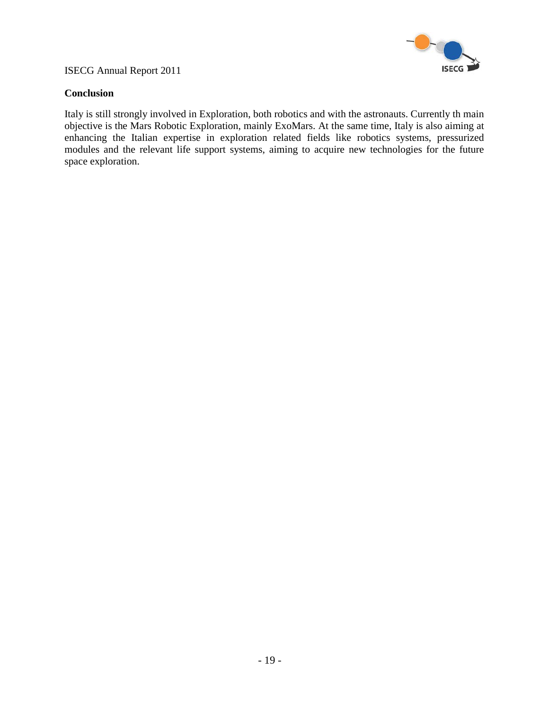

#### **Conclusion**

Italy is still strongly involved in Exploration, both robotics and with the astronauts. Currently th main objective is the Mars Robotic Exploration, mainly ExoMars. At the same time, Italy is also aiming at enhancing the Italian expertise in exploration related fields like robotics systems, pressurized modules and the relevant life support systems, aiming to acquire new technologies for the future space exploration.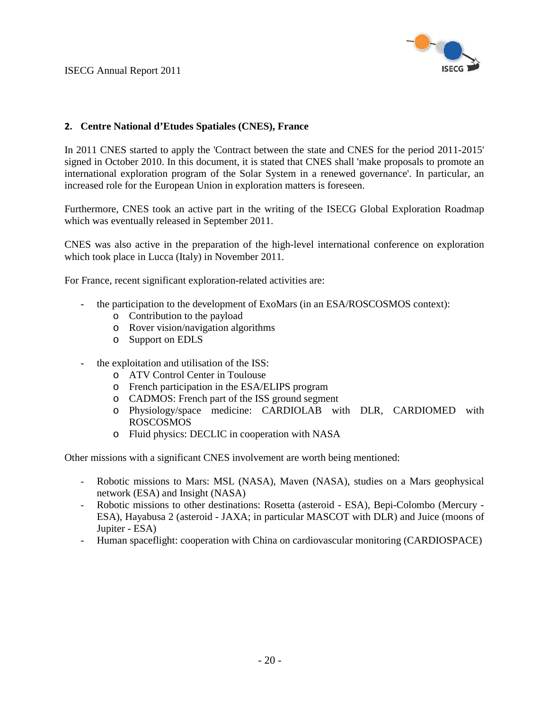

# **2. Centre National d'Etudes Spatiales (CNES), France**

In 2011 CNES started to apply the 'Contract between the state and CNES for the period 2011-2015' signed in October 2010. In this document, it is stated that CNES shall 'make proposals to promote an international exploration program of the Solar System in a renewed governance'. In particular, an increased role for the European Union in exploration matters is foreseen.

Furthermore, CNES took an active part in the writing of the ISECG Global Exploration Roadmap which was eventually released in September 2011.

CNES was also active in the preparation of the high-level international conference on exploration which took place in Lucca (Italy) in November 2011.

For France, recent significant exploration-related activities are:

- the participation to the development of ExoMars (in an ESA/ROSCOSMOS context):
	- o Contribution to the payload
	- o Rover vision/navigation algorithms
	- o Support on EDLS
- the exploitation and utilisation of the ISS:
	- o ATV Control Center in Toulouse
	- o French participation in the ESA/ELIPS program
	- o CADMOS: French part of the ISS ground segment
	- o Physiology/space medicine: CARDIOLAB with DLR, CARDIOMED with ROSCOSMOS
	- o Fluid physics: DECLIC in cooperation with NASA

Other missions with a significant CNES involvement are worth being mentioned:

- Robotic missions to Mars: MSL (NASA), Maven (NASA), studies on a Mars geophysical network (ESA) and Insight (NASA)
- Robotic missions to other destinations: Rosetta (asteroid ESA), Bepi-Colombo (Mercury ESA), Hayabusa 2 (asteroid - JAXA; in particular MASCOT with DLR) and Juice (moons of Jupiter - ESA)
- Human spaceflight: cooperation with China on cardiovascular monitoring (CARDIOSPACE)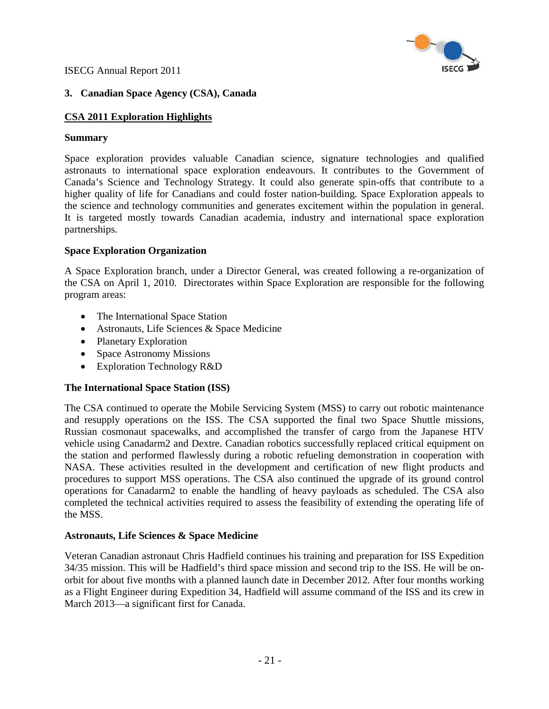

# **3. Canadian Space Agency (CSA), Canada**

# **CSA 2011 Exploration Highlights**

#### **Summary**

Space exploration provides valuable Canadian science, signature technologies and qualified astronauts to international space exploration endeavours. It contributes to the Government of Canada's Science and Technology Strategy. It could also generate spin-offs that contribute to a higher quality of life for Canadians and could foster nation-building. Space Exploration appeals to the science and technology communities and generates excitement within the population in general. It is targeted mostly towards Canadian academia, industry and international space exploration partnerships.

#### **Space Exploration Organization**

A Space Exploration branch, under a Director General, was created following a re-organization of the CSA on April 1, 2010. Directorates within Space Exploration are responsible for the following program areas:

- The International Space Station
- Astronauts, Life Sciences & Space Medicine
- Planetary Exploration
- Space Astronomy Missions
- Exploration Technology R&D

#### **The International Space Station (ISS)**

The CSA continued to operate the Mobile Servicing System (MSS) to carry out robotic maintenance and resupply operations on the ISS. The CSA supported the final two Space Shuttle missions, Russian cosmonaut spacewalks, and accomplished the transfer of cargo from the Japanese HTV vehicle using Canadarm2 and Dextre. Canadian robotics successfully replaced critical equipment on the station and performed flawlessly during a robotic refueling demonstration in cooperation with NASA. These activities resulted in the development and certification of new flight products and procedures to support MSS operations. The CSA also continued the upgrade of its ground control operations for Canadarm2 to enable the handling of heavy payloads as scheduled. The CSA also completed the technical activities required to assess the feasibility of extending the operating life of the MSS.

#### **Astronauts, Life Sciences & Space Medicine**

Veteran Canadian astronaut Chris Hadfield continues his training and preparation for ISS Expedition 34/35 mission. This will be Hadfield's third space mission and second trip to the ISS. He will be onorbit for about five months with a planned launch date in December 2012. After four months working as a Flight Engineer during Expedition 34, Hadfield will assume command of the ISS and its crew in March 2013—a significant first for Canada.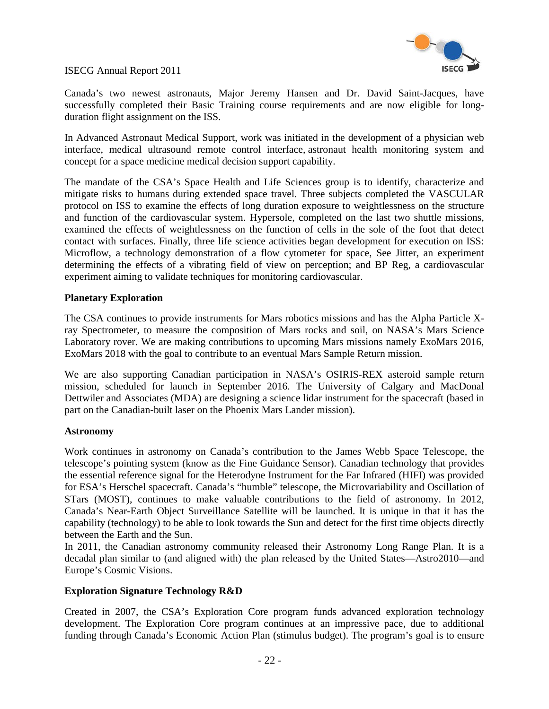

Canada's two newest astronauts, Major Jeremy Hansen and Dr. David Saint-Jacques, have successfully completed their Basic Training course requirements and are now eligible for longduration flight assignment on the ISS.

In Advanced Astronaut Medical Support, work was initiated in the development of a physician web interface, medical ultrasound remote control interface, astronaut health monitoring system and concept for a space medicine medical decision support capability.

The mandate of the CSA's Space Health and Life Sciences group is to identify, characterize and mitigate risks to humans during extended space travel. Three subjects completed the VASCULAR protocol on ISS to examine the effects of long duration exposure to weightlessness on the structure and function of the cardiovascular system. Hypersole, completed on the last two shuttle missions, examined the effects of weightlessness on the function of cells in the sole of the foot that detect contact with surfaces. Finally, three life science activities began development for execution on ISS: Microflow, a technology demonstration of a flow cytometer for space, See Jitter, an experiment determining the effects of a vibrating field of view on perception; and BP Reg, a cardiovascular experiment aiming to validate techniques for monitoring cardiovascular.

#### **Planetary Exploration**

The CSA continues to provide instruments for Mars robotics missions and has the Alpha Particle Xray Spectrometer, to measure the composition of Mars rocks and soil, on NASA's Mars Science Laboratory rover. We are making contributions to upcoming Mars missions namely ExoMars 2016, ExoMars 2018 with the goal to contribute to an eventual Mars Sample Return mission.

We are also supporting Canadian participation in NASA's OSIRIS-REX asteroid sample return mission, scheduled for launch in September 2016. The University of Calgary and MacDonal Dettwiler and Associates (MDA) are designing a science lidar instrument for the spacecraft (based in part on the Canadian-built laser on the Phoenix Mars Lander mission).

#### **Astronomy**

Work continues in astronomy on Canada's contribution to the James Webb Space Telescope, the telescope's pointing system (know as the Fine Guidance Sensor). Canadian technology that provides the essential reference signal for the Heterodyne Instrument for the Far Infrared (HIFI) was provided for ESA's Herschel spacecraft. Canada's "humble" telescope, the Microvariability and Oscillation of STars (MOST), continues to make valuable contributions to the field of astronomy. In 2012, Canada's Near-Earth Object Surveillance Satellite will be launched. It is unique in that it has the capability (technology) to be able to look towards the Sun and detect for the first time objects directly between the Earth and the Sun.

In 2011, the Canadian astronomy community released their Astronomy Long Range Plan. It is a decadal plan similar to (and aligned with) the plan released by the United States—Astro2010—and Europe's Cosmic Visions.

#### **Exploration Signature Technology R&D**

Created in 2007, the CSA's Exploration Core program funds advanced exploration technology development. The Exploration Core program continues at an impressive pace, due to additional funding through Canada's Economic Action Plan (stimulus budget). The program's goal is to ensure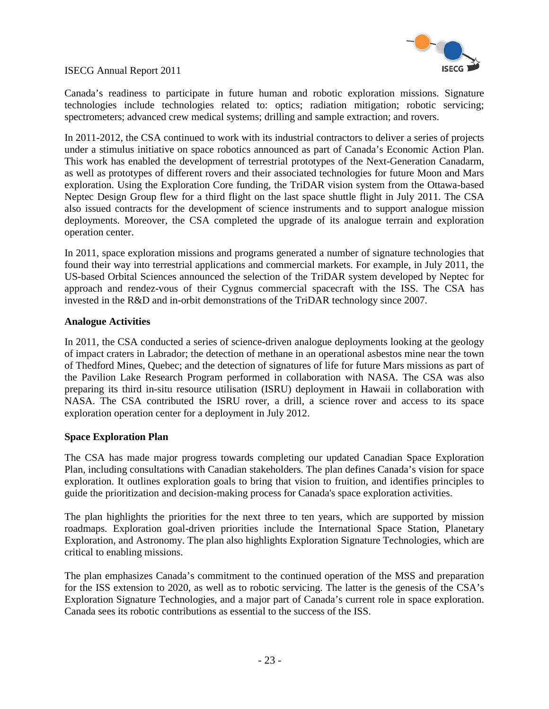

Canada's readiness to participate in future human and robotic exploration missions. Signature technologies include technologies related to: optics; radiation mitigation; robotic servicing; spectrometers; advanced crew medical systems; drilling and sample extraction; and rovers.

In 2011-2012, the CSA continued to work with its industrial contractors to deliver a series of projects under a stimulus initiative on space robotics announced as part of Canada's Economic Action Plan. This work has enabled the development of terrestrial prototypes of the Next-Generation Canadarm, as well as prototypes of different rovers and their associated technologies for future Moon and Mars exploration. Using the Exploration Core funding, the TriDAR vision system from the Ottawa-based Neptec Design Group flew for a third flight on the last space shuttle flight in July 2011. The CSA also issued contracts for the development of science instruments and to support analogue mission deployments. Moreover, the CSA completed the upgrade of its analogue terrain and exploration operation center.

In 2011, space exploration missions and programs generated a number of signature technologies that found their way into terrestrial applications and commercial markets. For example, in July 2011, the US-based Orbital Sciences announced the selection of the TriDAR system developed by Neptec for approach and rendez-vous of their Cygnus commercial spacecraft with the ISS. The CSA has invested in the R&D and in-orbit demonstrations of the TriDAR technology since 2007.

#### **Analogue Activities**

In 2011, the CSA conducted a series of science-driven analogue deployments looking at the geology of impact craters in Labrador; the detection of methane in an operational asbestos mine near the town of Thedford Mines, Quebec; and the detection of signatures of life for future Mars missions as part of the Pavilion Lake Research Program performed in collaboration with NASA. The CSA was also preparing its third in-situ resource utilisation (ISRU) deployment in Hawaii in collaboration with NASA. The CSA contributed the ISRU rover, a drill, a science rover and access to its space exploration operation center for a deployment in July 2012.

#### **Space Exploration Plan**

The CSA has made major progress towards completing our updated Canadian Space Exploration Plan, including consultations with Canadian stakeholders. The plan defines Canada's vision for space exploration. It outlines exploration goals to bring that vision to fruition, and identifies principles to guide the prioritization and decision-making process for Canada's space exploration activities.

The plan highlights the priorities for the next three to ten years, which are supported by mission roadmaps. Exploration goal-driven priorities include the International Space Station, Planetary Exploration, and Astronomy. The plan also highlights Exploration Signature Technologies, which are critical to enabling missions.

The plan emphasizes Canada's commitment to the continued operation of the MSS and preparation for the ISS extension to 2020, as well as to robotic servicing. The latter is the genesis of the CSA's Exploration Signature Technologies, and a major part of Canada's current role in space exploration. Canada sees its robotic contributions as essential to the success of the ISS.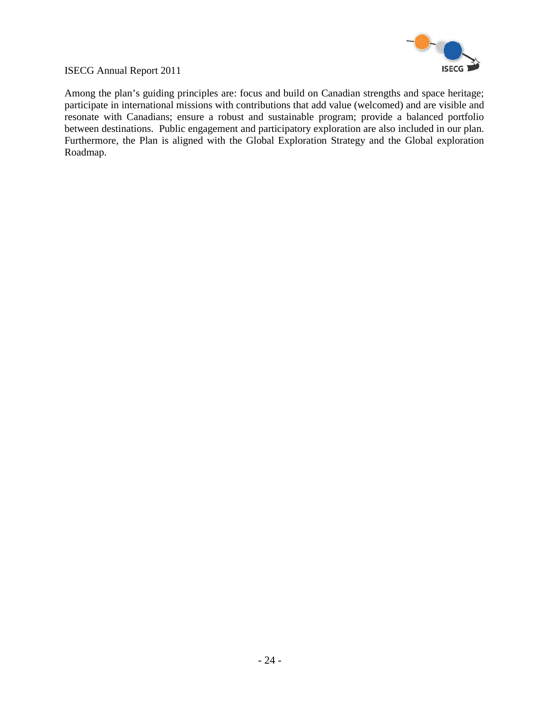

Among the plan's guiding principles are: focus and build on Canadian strengths and space heritage; participate in international missions with contributions that add value (welcomed) and are visible and resonate with Canadians; ensure a robust and sustainable program; provide a balanced portfolio between destinations. Public engagement and participatory exploration are also included in our plan. Furthermore, the Plan is aligned with the Global Exploration Strategy and the Global exploration Roadmap.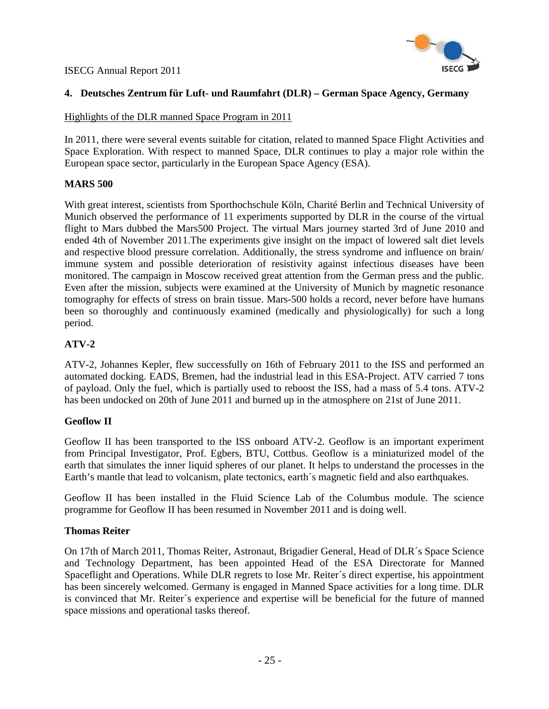

# **4. Deutsches Zentrum für Luft- und Raumfahrt (DLR) – German Space Agency, Germany**

#### Highlights of the DLR manned Space Program in 2011

In 2011, there were several events suitable for citation, related to manned Space Flight Activities and Space Exploration. With respect to manned Space, DLR continues to play a major role within the European space sector, particularly in the European Space Agency (ESA).

#### **MARS 500**

With great interest, scientists from Sporthochschule Köln, Charité Berlin and Technical University of Munich observed the performance of 11 experiments supported by DLR in the course of the virtual flight to Mars dubbed the Mars500 Project. The virtual Mars journey started 3rd of June 2010 and ended 4th of November 2011.The experiments give insight on the impact of lowered salt diet levels and respective blood pressure correlation. Additionally, the stress syndrome and influence on brain/ immune system and possible deterioration of resistivity against infectious diseases have been monitored. The campaign in Moscow received great attention from the German press and the public. Even after the mission, subjects were examined at the University of Munich by magnetic resonance tomography for effects of stress on brain tissue. Mars-500 holds a record, never before have humans been so thoroughly and continuously examined (medically and physiologically) for such a long period.

#### **ATV-2**

ATV-2, Johannes Kepler, flew successfully on 16th of February 2011 to the ISS and performed an automated docking. EADS, Bremen, had the industrial lead in this ESA-Project. ATV carried 7 tons of payload. Only the fuel, which is partially used to reboost the ISS, had a mass of 5.4 tons. ATV-2 has been undocked on 20th of June 2011 and burned up in the atmosphere on 21st of June 2011.

#### **Geoflow II**

Geoflow II has been transported to the ISS onboard ATV-2. Geoflow is an important experiment from Principal Investigator, Prof. Egbers, BTU, Cottbus. Geoflow is a miniaturized model of the earth that simulates the inner liquid spheres of our planet. It helps to understand the processes in the Earth's mantle that lead to volcanism, plate tectonics, earth´s magnetic field and also earthquakes.

Geoflow II has been installed in the Fluid Science Lab of the Columbus module. The science programme for Geoflow II has been resumed in November 2011 and is doing well.

#### **Thomas Reiter**

On 17th of March 2011, Thomas Reiter, Astronaut, Brigadier General, Head of DLR´s Space Science and Technology Department, has been appointed Head of the ESA Directorate for Manned Spaceflight and Operations. While DLR regrets to lose Mr. Reiter´s direct expertise, his appointment has been sincerely welcomed. Germany is engaged in Manned Space activities for a long time. DLR is convinced that Mr. Reiter´s experience and expertise will be beneficial for the future of manned space missions and operational tasks thereof.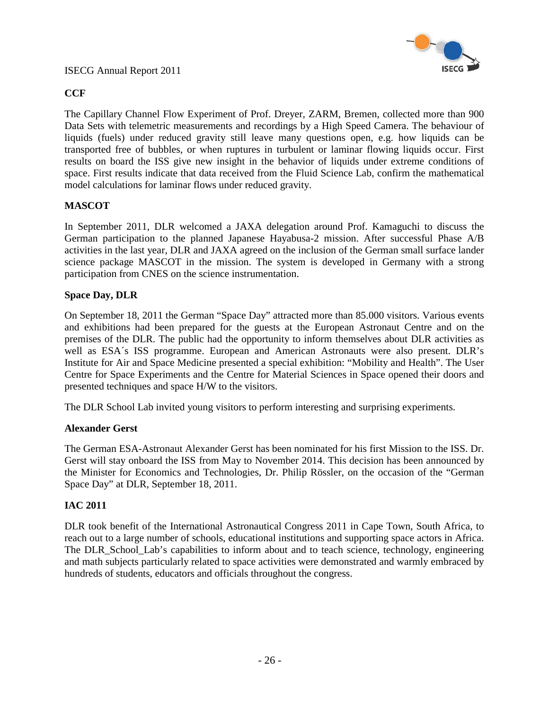

# **CCF**

The Capillary Channel Flow Experiment of Prof. Dreyer, ZARM, Bremen, collected more than 900 Data Sets with telemetric measurements and recordings by a High Speed Camera. The behaviour of liquids (fuels) under reduced gravity still leave many questions open, e.g. how liquids can be transported free of bubbles, or when ruptures in turbulent or laminar flowing liquids occur. First results on board the ISS give new insight in the behavior of liquids under extreme conditions of space. First results indicate that data received from the Fluid Science Lab, confirm the mathematical model calculations for laminar flows under reduced gravity.

# **MASCOT**

In September 2011, DLR welcomed a JAXA delegation around Prof. Kamaguchi to discuss the German participation to the planned Japanese Hayabusa-2 mission. After successful Phase A/B activities in the last year, DLR and JAXA agreed on the inclusion of the German small surface lander science package MASCOT in the mission. The system is developed in Germany with a strong participation from CNES on the science instrumentation.

# **Space Day, DLR**

On September 18, 2011 the German "Space Day" attracted more than 85.000 visitors. Various events and exhibitions had been prepared for the guests at the European Astronaut Centre and on the premises of the DLR. The public had the opportunity to inform themselves about DLR activities as well as ESA´s ISS programme. European and American Astronauts were also present. DLR's Institute for Air and Space Medicine presented a special exhibition: "Mobility and Health". The User Centre for Space Experiments and the Centre for Material Sciences in Space opened their doors and presented techniques and space H/W to the visitors.

The DLR School Lab invited young visitors to perform interesting and surprising experiments.

#### **Alexander Gerst**

The German ESA-Astronaut Alexander Gerst has been nominated for his first Mission to the ISS. Dr. Gerst will stay onboard the ISS from May to November 2014. This decision has been announced by the Minister for Economics and Technologies, Dr. Philip Rössler, on the occasion of the "German Space Day" at DLR, September 18, 2011.

#### **IAC 2011**

DLR took benefit of the International Astronautical Congress 2011 in Cape Town, South Africa, to reach out to a large number of schools, educational institutions and supporting space actors in Africa. The DLR\_School\_Lab's capabilities to inform about and to teach science, technology, engineering and math subjects particularly related to space activities were demonstrated and warmly embraced by hundreds of students, educators and officials throughout the congress.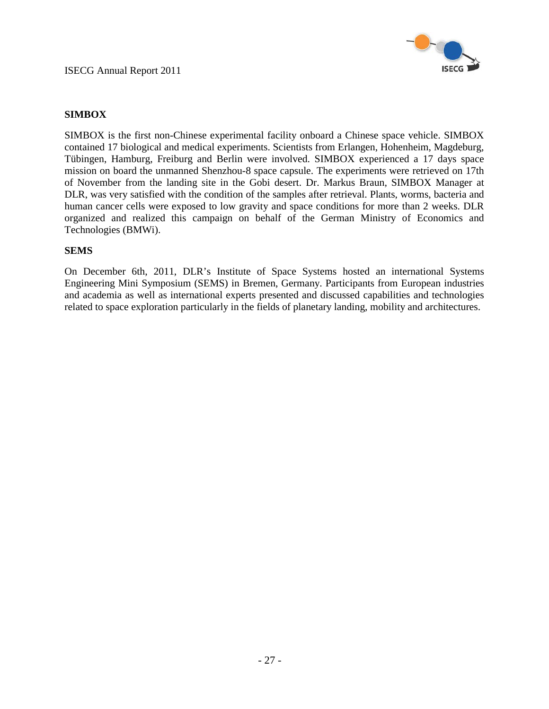

# **SIMBOX**

SIMBOX is the first non-Chinese experimental facility onboard a Chinese space vehicle. SIMBOX contained 17 biological and medical experiments. Scientists from Erlangen, Hohenheim, Magdeburg, Tübingen, Hamburg, Freiburg and Berlin were involved. SIMBOX experienced a 17 days space mission on board the unmanned Shenzhou-8 space capsule. The experiments were retrieved on 17th of November from the landing site in the Gobi desert. Dr. Markus Braun, SIMBOX Manager at DLR, was very satisfied with the condition of the samples after retrieval. Plants, worms, bacteria and human cancer cells were exposed to low gravity and space conditions for more than 2 weeks. DLR organized and realized this campaign on behalf of the German Ministry of Economics and Technologies (BMWi).

#### **SEMS**

On December 6th, 2011, DLR's Institute of Space Systems hosted an international Systems Engineering Mini Symposium (SEMS) in Bremen, Germany. Participants from European industries and academia as well as international experts presented and discussed capabilities and technologies related to space exploration particularly in the fields of planetary landing, mobility and architectures.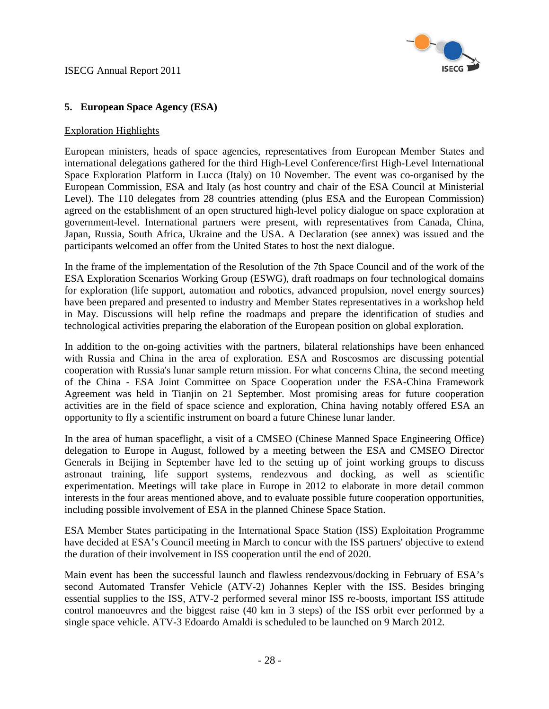

# **5. European Space Agency (ESA)**

#### Exploration Highlights

European ministers, heads of space agencies, representatives from European Member States and international delegations gathered for the third High-Level Conference/first High-Level International Space Exploration Platform in Lucca (Italy) on 10 November. The event was co-organised by the European Commission, ESA and Italy (as host country and chair of the ESA Council at Ministerial Level). The 110 delegates from 28 countries attending (plus ESA and the European Commission) agreed on the establishment of an open structured high-level policy dialogue on space exploration at government-level. International partners were present, with representatives from Canada, China, Japan, Russia, South Africa, Ukraine and the USA. A Declaration (see annex) was issued and the participants welcomed an offer from the United States to host the next dialogue.

In the frame of the implementation of the Resolution of the 7th Space Council and of the work of the ESA Exploration Scenarios Working Group (ESWG), draft roadmaps on four technological domains for exploration (life support, automation and robotics, advanced propulsion, novel energy sources) have been prepared and presented to industry and Member States representatives in a workshop held in May. Discussions will help refine the roadmaps and prepare the identification of studies and technological activities preparing the elaboration of the European position on global exploration.

In addition to the on-going activities with the partners, bilateral relationships have been enhanced with Russia and China in the area of exploration. ESA and Roscosmos are discussing potential cooperation with Russia's lunar sample return mission. For what concerns China, the second meeting of the China - ESA Joint Committee on Space Cooperation under the ESA-China Framework Agreement was held in Tianjin on 21 September. Most promising areas for future cooperation activities are in the field of space science and exploration, China having notably offered ESA an opportunity to fly a scientific instrument on board a future Chinese lunar lander.

In the area of human spaceflight, a visit of a CMSEO (Chinese Manned Space Engineering Office) delegation to Europe in August, followed by a meeting between the ESA and CMSEO Director Generals in Beijing in September have led to the setting up of joint working groups to discuss astronaut training, life support systems, rendezvous and docking, as well as scientific experimentation. Meetings will take place in Europe in 2012 to elaborate in more detail common interests in the four areas mentioned above, and to evaluate possible future cooperation opportunities, including possible involvement of ESA in the planned Chinese Space Station.

ESA Member States participating in the International Space Station (ISS) Exploitation Programme have decided at ESA's Council meeting in March to concur with the ISS partners' objective to extend the duration of their involvement in ISS cooperation until the end of 2020.

Main event has been the successful launch and flawless rendezvous/docking in February of ESA's second Automated Transfer Vehicle (ATV-2) Johannes Kepler with the ISS. Besides bringing essential supplies to the ISS, ATV-2 performed several minor ISS re-boosts, important ISS attitude control manoeuvres and the biggest raise (40 km in 3 steps) of the ISS orbit ever performed by a single space vehicle. ATV-3 Edoardo Amaldi is scheduled to be launched on 9 March 2012.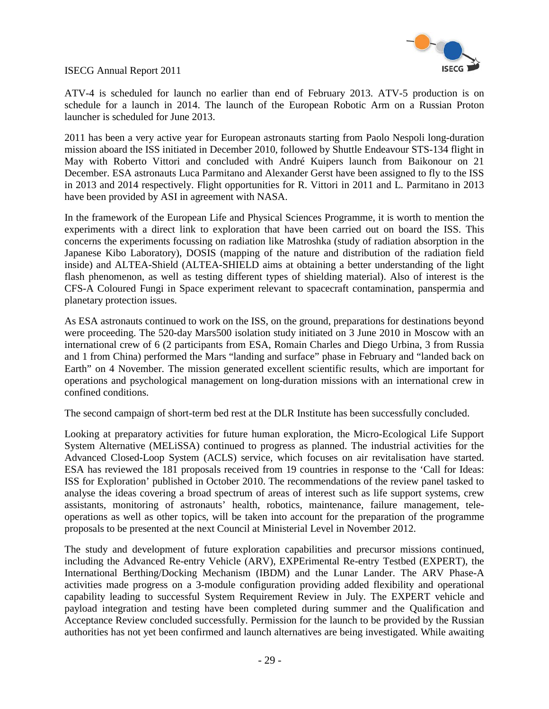

ATV-4 is scheduled for launch no earlier than end of February 2013. ATV-5 production is on schedule for a launch in 2014. The launch of the European Robotic Arm on a Russian Proton launcher is scheduled for June 2013.

2011 has been a very active year for European astronauts starting from Paolo Nespoli long-duration mission aboard the ISS initiated in December 2010, followed by Shuttle Endeavour STS-134 flight in May with Roberto Vittori and concluded with André Kuipers launch from Baikonour on 21 December. ESA astronauts Luca Parmitano and Alexander Gerst have been assigned to fly to the ISS in 2013 and 2014 respectively. Flight opportunities for R. Vittori in 2011 and L. Parmitano in 2013 have been provided by ASI in agreement with NASA.

In the framework of the European Life and Physical Sciences Programme, it is worth to mention the experiments with a direct link to exploration that have been carried out on board the ISS. This concerns the experiments focussing on radiation like Matroshka (study of radiation absorption in the Japanese Kibo Laboratory), DOSIS (mapping of the nature and distribution of the radiation field inside) and ALTEA-Shield (ALTEA-SHIELD aims at obtaining a better understanding of the light flash phenomenon, as well as testing different types of shielding material). Also of interest is the CFS-A Coloured Fungi in Space experiment relevant to spacecraft contamination, panspermia and planetary protection issues.

As ESA astronauts continued to work on the ISS, on the ground, preparations for destinations beyond were proceeding. The 520-day Mars500 isolation study initiated on 3 June 2010 in Moscow with an international crew of 6 (2 participants from ESA, Romain Charles and Diego Urbina, 3 from Russia and 1 from China) performed the Mars "landing and surface" phase in February and "landed back on Earth" on 4 November. The mission generated excellent scientific results, which are important for operations and psychological management on long-duration missions with an international crew in confined conditions.

The second campaign of short-term bed rest at the DLR Institute has been successfully concluded.

Looking at preparatory activities for future human exploration, the Micro-Ecological Life Support System Alternative (MELiSSA) continued to progress as planned. The industrial activities for the Advanced Closed-Loop System (ACLS) service, which focuses on air revitalisation have started. ESA has reviewed the 181 proposals received from 19 countries in response to the 'Call for Ideas: ISS for Exploration' published in October 2010. The recommendations of the review panel tasked to analyse the ideas covering a broad spectrum of areas of interest such as life support systems, crew assistants, monitoring of astronauts' health, robotics, maintenance, failure management, teleoperations as well as other topics, will be taken into account for the preparation of the programme proposals to be presented at the next Council at Ministerial Level in November 2012.

The study and development of future exploration capabilities and precursor missions continued, including the Advanced Re-entry Vehicle (ARV), EXPErimental Re-entry Testbed (EXPERT), the International Berthing/Docking Mechanism (IBDM) and the Lunar Lander. The ARV Phase-A activities made progress on a 3-module configuration providing added flexibility and operational capability leading to successful System Requirement Review in July. The EXPERT vehicle and payload integration and testing have been completed during summer and the Qualification and Acceptance Review concluded successfully. Permission for the launch to be provided by the Russian authorities has not yet been confirmed and launch alternatives are being investigated. While awaiting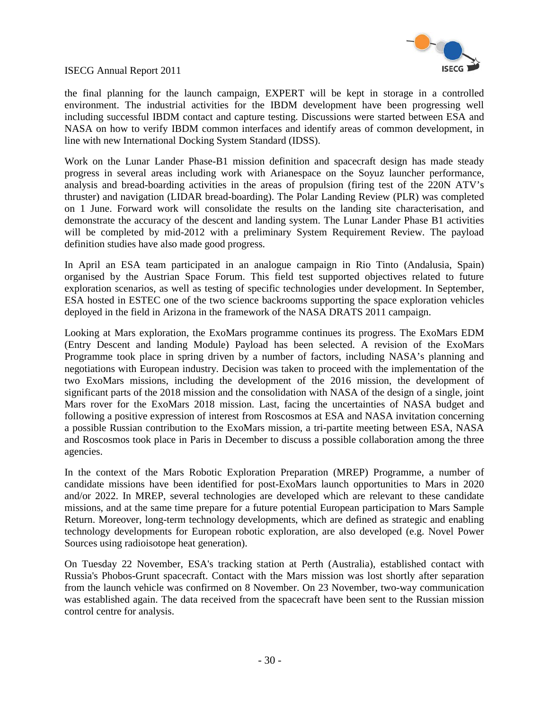



the final planning for the launch campaign, EXPERT will be kept in storage in a controlled environment. The industrial activities for the IBDM development have been progressing well including successful IBDM contact and capture testing. Discussions were started between ESA and NASA on how to verify IBDM common interfaces and identify areas of common development, in line with new International Docking System Standard (IDSS).

Work on the Lunar Lander Phase-B1 mission definition and spacecraft design has made steady progress in several areas including work with Arianespace on the Soyuz launcher performance, analysis and bread-boarding activities in the areas of propulsion (firing test of the 220N ATV's thruster) and navigation (LIDAR bread-boarding). The Polar Landing Review (PLR) was completed on 1 June. Forward work will consolidate the results on the landing site characterisation, and demonstrate the accuracy of the descent and landing system. The Lunar Lander Phase B1 activities will be completed by mid-2012 with a preliminary System Requirement Review. The payload definition studies have also made good progress.

In April an ESA team participated in an analogue campaign in Rio Tinto (Andalusia, Spain) organised by the Austrian Space Forum. This field test supported objectives related to future exploration scenarios, as well as testing of specific technologies under development. In September, ESA hosted in ESTEC one of the two science backrooms supporting the space exploration vehicles deployed in the field in Arizona in the framework of the NASA DRATS 2011 campaign.

Looking at Mars exploration, the ExoMars programme continues its progress. The ExoMars EDM (Entry Descent and landing Module) Payload has been selected. A revision of the ExoMars Programme took place in spring driven by a number of factors, including NASA's planning and negotiations with European industry. Decision was taken to proceed with the implementation of the two ExoMars missions, including the development of the 2016 mission, the development of significant parts of the 2018 mission and the consolidation with NASA of the design of a single, joint Mars rover for the ExoMars 2018 mission. Last, facing the uncertainties of NASA budget and following a positive expression of interest from Roscosmos at ESA and NASA invitation concerning a possible Russian contribution to the ExoMars mission, a tri-partite meeting between ESA, NASA and Roscosmos took place in Paris in December to discuss a possible collaboration among the three agencies.

In the context of the Mars Robotic Exploration Preparation (MREP) Programme, a number of candidate missions have been identified for post-ExoMars launch opportunities to Mars in 2020 and/or 2022. In MREP, several technologies are developed which are relevant to these candidate missions, and at the same time prepare for a future potential European participation to Mars Sample Return. Moreover, long-term technology developments, which are defined as strategic and enabling technology developments for European robotic exploration, are also developed (e.g. Novel Power Sources using radioisotope heat generation).

On Tuesday 22 November, ESA's tracking station at Perth (Australia), established contact with Russia's Phobos-Grunt spacecraft. Contact with the Mars mission was lost shortly after separation from the launch vehicle was confirmed on 8 November. On 23 November, two-way communication was established again. The data received from the spacecraft have been sent to the Russian mission control centre for analysis.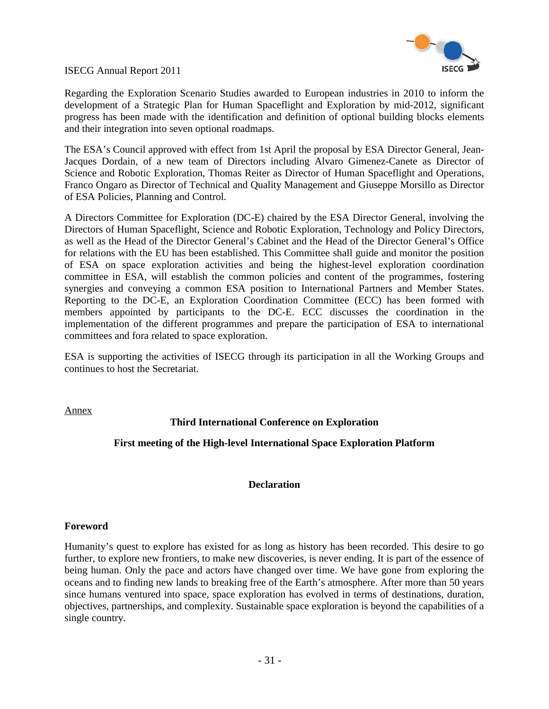

Regarding the Exploration Scenario Studies awarded to European industries in 2010 to inform the development of a Strategic Plan for Human Spaceflight and Exploration by mid-2012, significant progress has been made with the identification and definition of optional building blocks elements and their integration into seven optional roadmaps.

The ESA's Council approved with effect from 1st April the proposal by ESA Director General, Jean-Jacques Dordain, of a new team of Directors including Alvaro Gimenez-Canete as Director of Science and Robotic Exploration, Thomas Reiter as Director of Human Spaceflight and Operations, Franco Ongaro as Director of Technical and Quality Management and Giuseppe Morsillo as Director of ESA Policies, Planning and Control.

A Directors Committee for Exploration (DC-E) chaired by the ESA Director General, involving the Directors of Human Spaceflight, Science and Robotic Exploration, Technology and Policy Directors, as well as the Head of the Director General's Cabinet and the Head of the Director General's Office for relations with the EU has been established. This Committee shall guide and monitor the position of ESA on space exploration activities and being the highest-level exploration coordination committee in ESA, will establish the common policies and content of the programmes, fostering synergies and conveying a common ESA position to International Partners and Member States. Reporting to the DC-E, an Exploration Coordination Committee (ECC) has been formed with members appointed by participants to the DC-E. ECC discusses the coordination in the implementation of the different programmes and prepare the participation of ESA to international committees and fora related to space exploration.

ESA is supporting the activities of ISECG through its participation in all the Working Groups and continues to host the Secretariat.

Annex

# **Third International Conference on Exploration**

# **First meeting of the High-level International Space Exploration Platform**

#### **Declaration**

#### **Foreword**

Humanity's quest to explore has existed for as long as history has been recorded. This desire to go further, to explore new frontiers, to make new discoveries, is never ending. It is part of the essence of being human. Only the pace and actors have changed over time. We have gone from exploring the oceans and to finding new lands to breaking free of the Earth's atmosphere. After more than 50 years since humans ventured into space, space exploration has evolved in terms of destinations, duration, objectives, partnerships, and complexity. Sustainable space exploration is beyond the capabilities of a single country.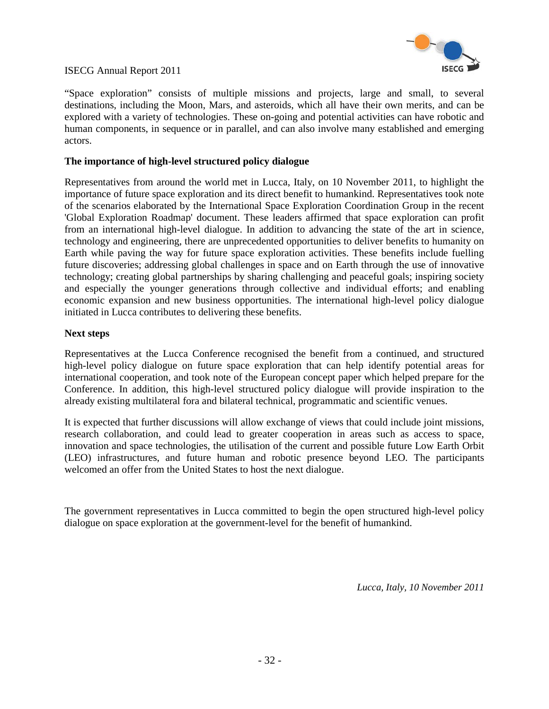

"Space exploration" consists of multiple missions and projects, large and small, to several destinations, including the Moon, Mars, and asteroids, which all have their own merits, and can be explored with a variety of technologies. These on-going and potential activities can have robotic and human components, in sequence or in parallel, and can also involve many established and emerging actors.

#### **The importance of high-level structured policy dialogue**

Representatives from around the world met in Lucca, Italy, on 10 November 2011, to highlight the importance of future space exploration and its direct benefit to humankind. Representatives took note of the scenarios elaborated by the International Space Exploration Coordination Group in the recent 'Global Exploration Roadmap' document. These leaders affirmed that space exploration can profit from an international high-level dialogue. In addition to advancing the state of the art in science, technology and engineering, there are unprecedented opportunities to deliver benefits to humanity on Earth while paving the way for future space exploration activities. These benefits include fuelling future discoveries; addressing global challenges in space and on Earth through the use of innovative technology; creating global partnerships by sharing challenging and peaceful goals; inspiring society and especially the younger generations through collective and individual efforts; and enabling economic expansion and new business opportunities. The international high-level policy dialogue initiated in Lucca contributes to delivering these benefits.

#### **Next steps**

Representatives at the Lucca Conference recognised the benefit from a continued, and structured high-level policy dialogue on future space exploration that can help identify potential areas for international cooperation, and took note of the European concept paper which helped prepare for the Conference. In addition, this high-level structured policy dialogue will provide inspiration to the already existing multilateral fora and bilateral technical, programmatic and scientific venues.

It is expected that further discussions will allow exchange of views that could include joint missions, research collaboration, and could lead to greater cooperation in areas such as access to space, innovation and space technologies, the utilisation of the current and possible future Low Earth Orbit (LEO) infrastructures, and future human and robotic presence beyond LEO. The participants welcomed an offer from the United States to host the next dialogue.

The government representatives in Lucca committed to begin the open structured high-level policy dialogue on space exploration at the government-level for the benefit of humankind.

*Lucca, Italy, 10 November 2011*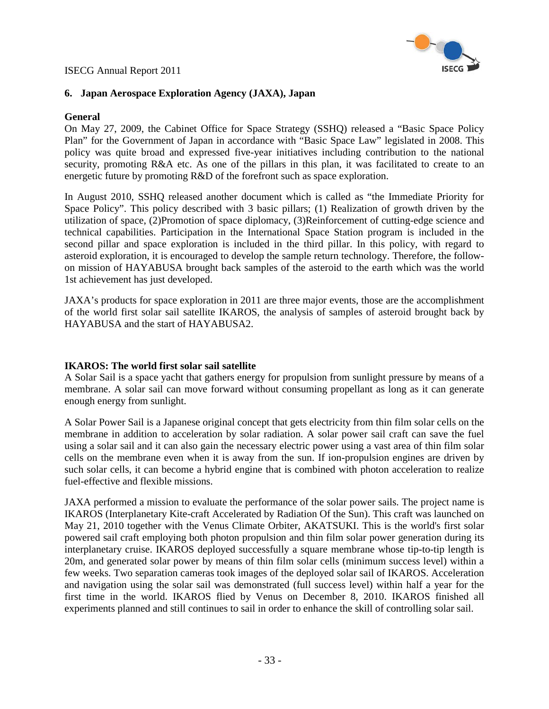

# **6. Japan Aerospace Exploration Agency (JAXA), Japan**

#### **General**

On May 27, 2009, the Cabinet Office for Space Strategy (SSHQ) released a "Basic Space Policy Plan" for the Government of Japan in accordance with "Basic Space Law" legislated in 2008. This policy was quite broad and expressed five-year initiatives including contribution to the national security, promoting R&A etc. As one of the pillars in this plan, it was facilitated to create to an energetic future by promoting R&D of the forefront such as space exploration.

In August 2010, SSHQ released another document which is called as "the Immediate Priority for Space Policy". This policy described with 3 basic pillars; (1) Realization of growth driven by the utilization of space, (2)Promotion of space diplomacy, (3)Reinforcement of cutting-edge science and technical capabilities. Participation in the International Space Station program is included in the second pillar and space exploration is included in the third pillar. In this policy, with regard to asteroid exploration, it is encouraged to develop the sample return technology. Therefore, the followon mission of HAYABUSA brought back samples of the asteroid to the earth which was the world 1st achievement has just developed.

JAXA's products for space exploration in 2011 are three major events, those are the accomplishment of the world first solar sail satellite IKAROS, the analysis of samples of asteroid brought back by HAYABUSA and the start of HAYABUSA2.

#### **IKAROS: The world first solar sail satellite**

A Solar Sail is a space yacht that gathers energy for propulsion from sunlight pressure by means of a membrane. A solar sail can move forward without consuming propellant as long as it can generate enough energy from sunlight.

A Solar Power Sail is a Japanese original concept that gets electricity from thin film solar cells on the membrane in addition to acceleration by solar radiation. A solar power sail craft can save the fuel using a solar sail and it can also gain the necessary electric power using a vast area of thin film solar cells on the membrane even when it is away from the sun. If ion-propulsion engines are driven by such solar cells, it can become a hybrid engine that is combined with photon acceleration to realize fuel-effective and flexible missions.

JAXA performed a mission to evaluate the performance of the solar power sails. The project name is IKAROS (Interplanetary Kite-craft Accelerated by Radiation Of the Sun). This craft was launched on May 21, 2010 together with the Venus Climate Orbiter, AKATSUKI. This is the world's first solar powered sail craft employing both photon propulsion and thin film solar power generation during its interplanetary cruise. IKAROS deployed successfully a square membrane whose tip-to-tip length is 20m, and generated solar power by means of thin film solar cells (minimum success level) within a few weeks. Two separation cameras took images of the deployed solar sail of IKAROS. Acceleration and navigation using the solar sail was demonstrated (full success level) within half a year for the first time in the world. IKAROS flied by Venus on December 8, 2010. IKAROS finished all experiments planned and still continues to sail in order to enhance the skill of controlling solar sail.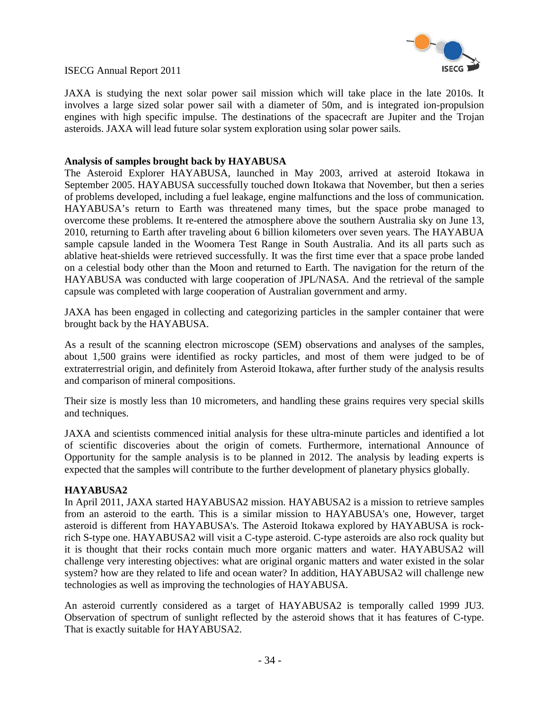

JAXA is studying the next solar power sail mission which will take place in the late 2010s. It involves a large sized solar power sail with a diameter of 50m, and is integrated ion-propulsion engines with high specific impulse. The destinations of the spacecraft are Jupiter and the Trojan asteroids. JAXA will lead future solar system exploration using solar power sails.

#### **Analysis of samples brought back by HAYABUSA**

The Asteroid Explorer HAYABUSA, launched in May 2003, arrived at asteroid Itokawa in September 2005. HAYABUSA successfully touched down Itokawa that November, but then a series of problems developed, including a fuel leakage, engine malfunctions and the loss of communication. HAYABUSA's return to Earth was threatened many times, but the space probe managed to overcome these problems. It re-entered the atmosphere above the southern Australia sky on June 13, 2010, returning to Earth after traveling about 6 billion kilometers over seven years. The HAYABUA sample capsule landed in the Woomera Test Range in South Australia. And its all parts such as ablative heat-shields were retrieved successfully. It was the first time ever that a space probe landed on a celestial body other than the Moon and returned to Earth. The navigation for the return of the HAYABUSA was conducted with large cooperation of JPL/NASA. And the retrieval of the sample capsule was completed with large cooperation of Australian government and army.

JAXA has been engaged in collecting and categorizing particles in the sampler container that were brought back by the HAYABUSA.

As a result of the scanning electron microscope (SEM) observations and analyses of the samples, about 1,500 grains were identified as rocky particles, and most of them were judged to be of extraterrestrial origin, and definitely from Asteroid Itokawa, after further study of the analysis results and comparison of mineral compositions.

Their size is mostly less than 10 micrometers, and handling these grains requires very special skills and techniques.

JAXA and scientists commenced initial analysis for these ultra-minute particles and identified a lot of scientific discoveries about the origin of comets. Furthermore, international Announce of Opportunity for the sample analysis is to be planned in 2012. The analysis by leading experts is expected that the samples will contribute to the further development of planetary physics globally.

#### **HAYABUSA2**

In April 2011, JAXA started HAYABUSA2 mission. HAYABUSA2 is a mission to retrieve samples from an asteroid to the earth. This is a similar mission to HAYABUSA's one, However, target asteroid is different from HAYABUSA's. The Asteroid Itokawa explored by HAYABUSA is rockrich S-type one. HAYABUSA2 will visit a C-type asteroid. C-type asteroids are also rock quality but it is thought that their rocks contain much more organic matters and water. HAYABUSA2 will challenge very interesting objectives: what are original organic matters and water existed in the solar system? how are they related to life and ocean water? In addition, HAYABUSA2 will challenge new technologies as well as improving the technologies of HAYABUSA.

An asteroid currently considered as a target of HAYABUSA2 is temporally called 1999 JU3. Observation of spectrum of sunlight reflected by the asteroid shows that it has features of C-type. That is exactly suitable for HAYABUSA2.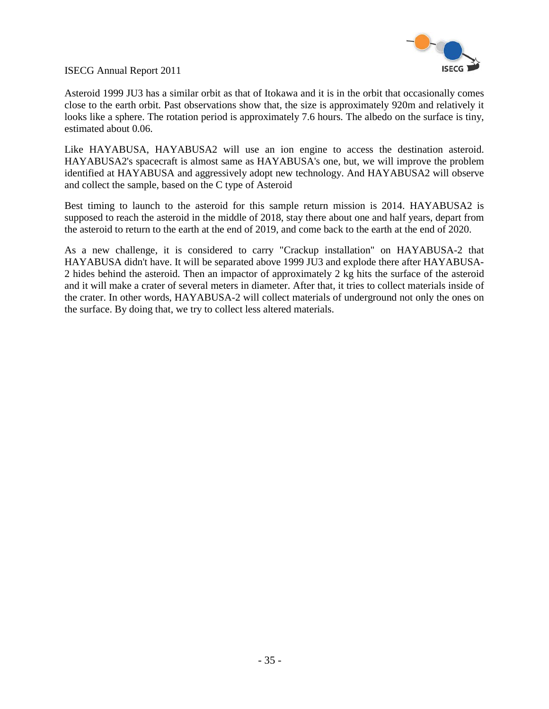

Asteroid 1999 JU3 has a similar orbit as that of Itokawa and it is in the orbit that occasionally comes close to the earth orbit. Past observations show that, the size is approximately 920m and relatively it looks like a sphere. The rotation period is approximately 7.6 hours. The albedo on the surface is tiny, estimated about 0.06.

Like HAYABUSA, HAYABUSA2 will use an ion engine to access the destination asteroid. HAYABUSA2's spacecraft is almost same as HAYABUSA's one, but, we will improve the problem identified at HAYABUSA and aggressively adopt new technology. And HAYABUSA2 will observe and collect the sample, based on the C type of Asteroid

Best timing to launch to the asteroid for this sample return mission is 2014. HAYABUSA2 is supposed to reach the asteroid in the middle of 2018, stay there about one and half years, depart from the asteroid to return to the earth at the end of 2019, and come back to the earth at the end of 2020.

As a new challenge, it is considered to carry "Crackup installation" on HAYABUSA-2 that HAYABUSA didn't have. It will be separated above 1999 JU3 and explode there after HAYABUSA-2 hides behind the asteroid. Then an impactor of approximately 2 kg hits the surface of the asteroid and it will make a crater of several meters in diameter. After that, it tries to collect materials inside of the crater. In other words, HAYABUSA-2 will collect materials of underground not only the ones on the surface. By doing that, we try to collect less altered materials.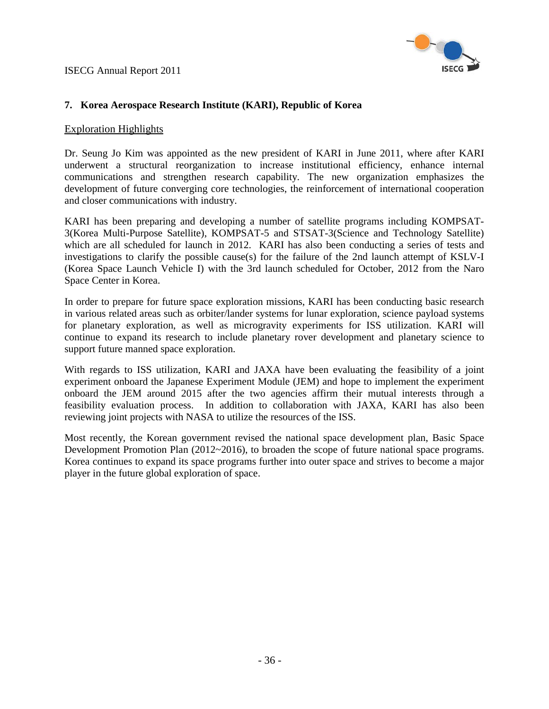

# **7. Korea Aerospace Research Institute (KARI), Republic of Korea**

#### Exploration Highlights

Dr. Seung Jo Kim was appointed as the new president of KARI in June 2011, where after KARI underwent a structural reorganization to increase institutional efficiency, enhance internal communications and strengthen research capability. The new organization emphasizes the development of future converging core technologies, the reinforcement of international cooperation and closer communications with industry.

KARI has been preparing and developing a number of satellite programs including KOMPSAT-3(Korea Multi-Purpose Satellite), KOMPSAT-5 and STSAT-3(Science and Technology Satellite) which are all scheduled for launch in 2012. KARI has also been conducting a series of tests and investigations to clarify the possible cause(s) for the failure of the 2nd launch attempt of KSLV-I (Korea Space Launch Vehicle I) with the 3rd launch scheduled for October, 2012 from the Naro Space Center in Korea.

In order to prepare for future space exploration missions, KARI has been conducting basic research in various related areas such as orbiter/lander systems for lunar exploration, science payload systems for planetary exploration, as well as microgravity experiments for ISS utilization. KARI will continue to expand its research to include planetary rover development and planetary science to support future manned space exploration.

With regards to ISS utilization, KARI and JAXA have been evaluating the feasibility of a joint experiment onboard the Japanese Experiment Module (JEM) and hope to implement the experiment onboard the JEM around 2015 after the two agencies affirm their mutual interests through a feasibility evaluation process. In addition to collaboration with JAXA, KARI has also been reviewing joint projects with NASA to utilize the resources of the ISS.

Most recently, the Korean government revised the national space development plan, Basic Space Development Promotion Plan (2012~2016), to broaden the scope of future national space programs. Korea continues to expand its space programs further into outer space and strives to become a major player in the future global exploration of space.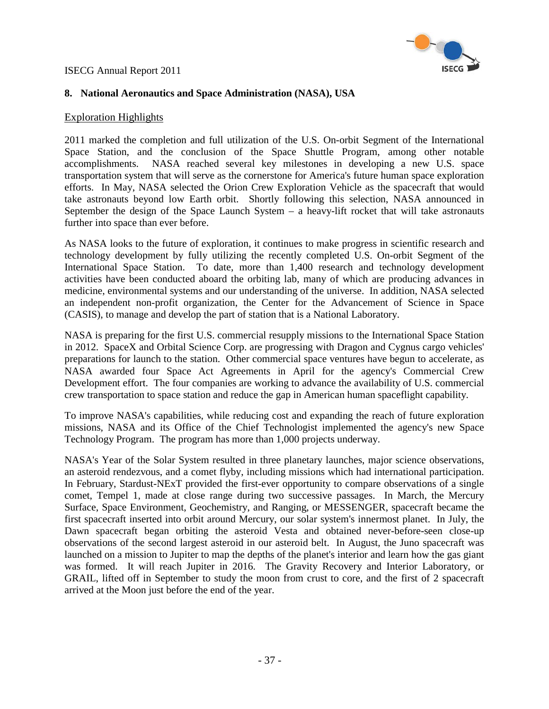

#### **8. National Aeronautics and Space Administration (NASA), USA**

#### Exploration Highlights

2011 marked the completion and full utilization of the U.S. On-orbit Segment of the International Space Station, and the conclusion of the Space Shuttle Program, among other notable accomplishments. NASA reached several key milestones in developing a new U.S. space transportation system that will serve as the cornerstone for America's future human space exploration efforts. In May, NASA selected the Orion Crew Exploration Vehicle as the spacecraft that would take astronauts beyond low Earth orbit. Shortly following this selection, NASA announced in September the design of the Space Launch System  $-$  a heavy-lift rocket that will take astronauts further into space than ever before.

As NASA looks to the future of exploration, it continues to make progress in scientific research and technology development by fully utilizing the recently completed U.S. On-orbit Segment of the International Space Station. To date, more than 1,400 research and technology development activities have been conducted aboard the orbiting lab, many of which are producing advances in medicine, environmental systems and our understanding of the universe. In addition, NASA selected an independent non-profit organization, the Center for the Advancement of Science in Space (CASIS), to manage and develop the part of station that is a National Laboratory.

NASA is preparing for the first U.S. commercial resupply missions to the International Space Station in 2012. SpaceX and Orbital Science Corp. are progressing with Dragon and Cygnus cargo vehicles' preparations for launch to the station. Other commercial space ventures have begun to accelerate, as NASA awarded four Space Act Agreements in April for the agency's Commercial Crew Development effort. The four companies are working to advance the availability of U.S. commercial crew transportation to space station and reduce the gap in American human spaceflight capability.

To improve NASA's capabilities, while reducing cost and expanding the reach of future exploration missions, NASA and its Office of the Chief Technologist implemented the agency's new Space Technology Program. The program has more than 1,000 projects underway.

NASA's Year of the Solar System resulted in three planetary launches, major science observations, an asteroid rendezvous, and a comet flyby, including missions which had international participation. In February, Stardust-NExT provided the first-ever opportunity to compare observations of a single comet, Tempel 1, made at close range during two successive passages. In March, the Mercury Surface, Space Environment, Geochemistry, and Ranging, or MESSENGER, spacecraft became the first spacecraft inserted into orbit around Mercury, our solar system's innermost planet. In July, the Dawn spacecraft began orbiting the asteroid Vesta and obtained never-before-seen close-up observations of the second largest asteroid in our asteroid belt. In August, the Juno spacecraft was launched on a mission to Jupiter to map the depths of the planet's interior and learn how the gas giant was formed. It will reach Jupiter in 2016. The Gravity Recovery and Interior Laboratory, or GRAIL, lifted off in September to study the moon from crust to core, and the first of 2 spacecraft arrived at the Moon just before the end of the year.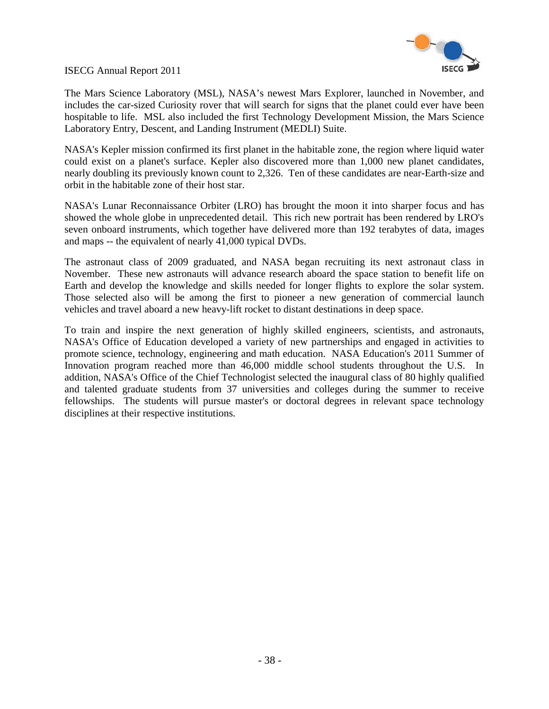

The Mars Science Laboratory (MSL), NASA's newest Mars Explorer, launched in November, and includes the car-sized Curiosity rover that will search for signs that the planet could ever have been hospitable to life. MSL also included the first Technology Development Mission, the Mars Science Laboratory Entry, Descent, and Landing Instrument (MEDLI) Suite.

NASA's Kepler mission confirmed its first planet in the habitable zone, the region where liquid water could exist on a planet's surface. Kepler also discovered more than 1,000 new planet candidates, nearly doubling its previously known count to 2,326. Ten of these candidates are near-Earth-size and orbit in the habitable zone of their host star.

NASA's Lunar Reconnaissance Orbiter (LRO) has brought the moon it into sharper focus and has showed the whole globe in unprecedented detail. This rich new portrait has been rendered by LRO's seven onboard instruments, which together have delivered more than 192 terabytes of data, images and maps -- the equivalent of nearly 41,000 typical DVDs.

The astronaut class of 2009 graduated, and NASA began recruiting its next astronaut class in November. These new astronauts will advance research aboard the space station to benefit life on Earth and develop the knowledge and skills needed for longer flights to explore the solar system. Those selected also will be among the first to pioneer a new generation of commercial launch vehicles and travel aboard a new heavy-lift rocket to distant destinations in deep space.

To train and inspire the next generation of highly skilled engineers, scientists, and astronauts, NASA's Office of Education developed a variety of new partnerships and engaged in activities to promote science, technology, engineering and math education. NASA Education's 2011 Summer of Innovation program reached more than 46,000 middle school students throughout the U.S. In addition, NASA's Office of the Chief Technologist selected the inaugural class of 80 highly qualified and talented graduate students from 37 universities and colleges during the summer to receive fellowships. The students will pursue master's or doctoral degrees in relevant space technology disciplines at their respective institutions.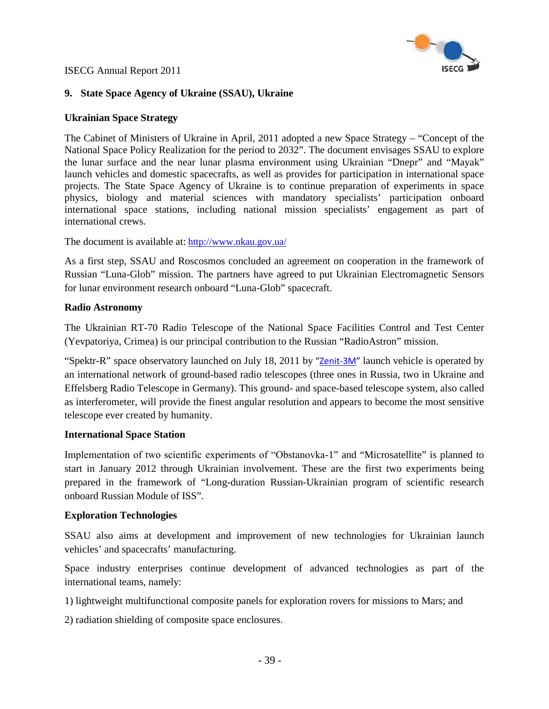

#### **9. State Space Agency of Ukraine (SSAU), Ukraine**

#### **Ukrainian Space Strategy**

The Cabinet of Ministers of Ukraine in April, 2011 adopted a new Space Strategy – "Concept of the National Space Policy Realization for the period to 2032". The document envisages SSAU to explore the lunar surface and the near lunar plasma environment using Ukrainian "Dnepr" and "Mayak" launch vehicles and domestic spacecrafts, as well as provides for participation in international space projects. The State Space Agency of Ukraine is to continue preparation of experiments in space physics, biology and material sciences with mandatory specialists' participation onboard international space stations, including national mission specialists' engagement as part of international crews.

The document is available at: [http://www.nkau.gov.ua/](http://www.nkau.gov.ua/nsau/nkau.nsf/Main1E/indexE?opendocument)

As a first step, SSAU and Roscosmos concluded an agreement on cooperation in the framework of Russian "Luna-Glob" mission. The partners have agreed to put Ukrainian Electromagnetic Sensors for lunar environment research onboard "Luna-Glob" spacecraft.

#### **Radio Astronomy**

The Ukrainian RT-70 Radio Telescope of the National Space Facilities Control and Test Center (Yevpatoriya, Crimea) is our principal contribution to the Russian "RadioAstron" mission.

"Spektr-R" space observatory launched on July 18, 2011 by ["Zenit-3M"](http://en.wikipedia.org/wiki/Zenit-3SLB) launch vehicle is operated by an international network of ground-based radio telescopes (three ones in Russia, two in Ukraine and Effelsberg Radio Telescope in Germany). This ground- and space-based telescope system, also called as interferometer, will provide the finest angular resolution and appears to become the most sensitive telescope ever created by humanity.

#### **International Space Station**

Implementation of two scientific experiments of "Оbstanovka-1" and "Microsatellite" is planned to start in January 2012 through Ukrainian involvement. These are the first two experiments being prepared in the framework of "Long-duration Russian-Ukrainian program of scientific research onboard Russian Module of ISS".

#### **Exploration Technologies**

SSAU also aims at development and improvement of new technologies for Ukrainian launch vehicles' and spacecrafts' manufacturing.

Space industry enterprises continue development of advanced technologies as part of the international teams, namely:

1) lightweight multifunctional composite panels for exploration rovers for missions to Mars; and

2) radiation shielding of composite space enclosures.